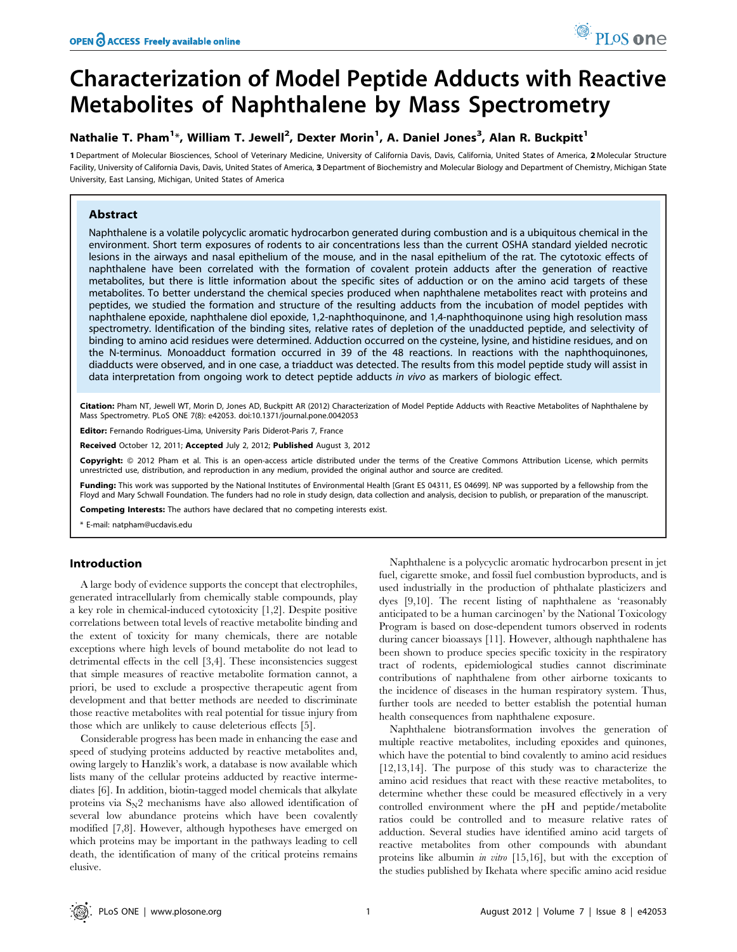# Characterization of Model Peptide Adducts with Reactive Metabolites of Naphthalene by Mass Spectrometry

### Nathalie T. Pham<sup>1\*</sup>, William T. Jewell<sup>2</sup>, Dexter Morin<sup>1</sup>, A. Daniel Jones<sup>3</sup>, Alan R. Buckpitt<sup>1</sup>

1 Department of Molecular Biosciences, School of Veterinary Medicine, University of California Davis, Davis, California, United States of America, 2 Molecular Structure Facility, University of California Davis, Davis, United States of America, 3 Department of Biochemistry and Molecular Biology and Department of Chemistry, Michigan State University, East Lansing, Michigan, United States of America

#### Abstract

Naphthalene is a volatile polycyclic aromatic hydrocarbon generated during combustion and is a ubiquitous chemical in the environment. Short term exposures of rodents to air concentrations less than the current OSHA standard yielded necrotic lesions in the airways and nasal epithelium of the mouse, and in the nasal epithelium of the rat. The cytotoxic effects of naphthalene have been correlated with the formation of covalent protein adducts after the generation of reactive metabolites, but there is little information about the specific sites of adduction or on the amino acid targets of these metabolites. To better understand the chemical species produced when naphthalene metabolites react with proteins and peptides, we studied the formation and structure of the resulting adducts from the incubation of model peptides with naphthalene epoxide, naphthalene diol epoxide, 1,2-naphthoquinone, and 1,4-naphthoquinone using high resolution mass spectrometry. Identification of the binding sites, relative rates of depletion of the unadducted peptide, and selectivity of binding to amino acid residues were determined. Adduction occurred on the cysteine, lysine, and histidine residues, and on the N-terminus. Monoadduct formation occurred in 39 of the 48 reactions. In reactions with the naphthoquinones, diadducts were observed, and in one case, a triadduct was detected. The results from this model peptide study will assist in data interpretation from ongoing work to detect peptide adducts in vivo as markers of biologic effect.

Citation: Pham NT, Jewell WT, Morin D, Jones AD, Buckpitt AR (2012) Characterization of Model Peptide Adducts with Reactive Metabolites of Naphthalene by Mass Spectrometry. PLoS ONE 7(8): e42053. doi:10.1371/journal.pone.0042053

Editor: Fernando Rodrigues-Lima, University Paris Diderot-Paris 7, France

Received October 12, 2011; Accepted July 2, 2012; Published August 3, 2012

Copyright: © 2012 Pham et al. This is an open-access article distributed under the terms of the Creative Commons Attribution License, which permits unrestricted use, distribution, and reproduction in any medium, provided the original author and source are credited.

Funding: This work was supported by the National Institutes of Environmental Health [Grant ES 04311, ES 04699]. NP was supported by a fellowship from the Floyd and Mary Schwall Foundation. The funders had no role in study design, data collection and analysis, decision to publish, or preparation of the manuscript.

Competing Interests: The authors have declared that no competing interests exist.

\* E-mail: natpham@ucdavis.edu

#### Introduction

A large body of evidence supports the concept that electrophiles, generated intracellularly from chemically stable compounds, play a key role in chemical-induced cytotoxicity [1,2]. Despite positive correlations between total levels of reactive metabolite binding and the extent of toxicity for many chemicals, there are notable exceptions where high levels of bound metabolite do not lead to detrimental effects in the cell [3,4]. These inconsistencies suggest that simple measures of reactive metabolite formation cannot, a priori, be used to exclude a prospective therapeutic agent from development and that better methods are needed to discriminate those reactive metabolites with real potential for tissue injury from those which are unlikely to cause deleterious effects [5].

Considerable progress has been made in enhancing the ease and speed of studying proteins adducted by reactive metabolites and, owing largely to Hanzlik's work, a database is now available which lists many of the cellular proteins adducted by reactive intermediates [6]. In addition, biotin-tagged model chemicals that alkylate proteins via  $S_N$ 2 mechanisms have also allowed identification of several low abundance proteins which have been covalently modified [7,8]. However, although hypotheses have emerged on which proteins may be important in the pathways leading to cell death, the identification of many of the critical proteins remains elusive.

Naphthalene is a polycyclic aromatic hydrocarbon present in jet fuel, cigarette smoke, and fossil fuel combustion byproducts, and is used industrially in the production of phthalate plasticizers and dyes [9,10]. The recent listing of naphthalene as 'reasonably anticipated to be a human carcinogen' by the National Toxicology Program is based on dose-dependent tumors observed in rodents during cancer bioassays [11]. However, although naphthalene has been shown to produce species specific toxicity in the respiratory tract of rodents, epidemiological studies cannot discriminate contributions of naphthalene from other airborne toxicants to the incidence of diseases in the human respiratory system. Thus, further tools are needed to better establish the potential human health consequences from naphthalene exposure.

Naphthalene biotransformation involves the generation of multiple reactive metabolites, including epoxides and quinones, which have the potential to bind covalently to amino acid residues [12,13,14]. The purpose of this study was to characterize the amino acid residues that react with these reactive metabolites, to determine whether these could be measured effectively in a very controlled environment where the pH and peptide/metabolite ratios could be controlled and to measure relative rates of adduction. Several studies have identified amino acid targets of reactive metabolites from other compounds with abundant proteins like albumin in vitro [15,16], but with the exception of the studies published by Ikehata where specific amino acid residue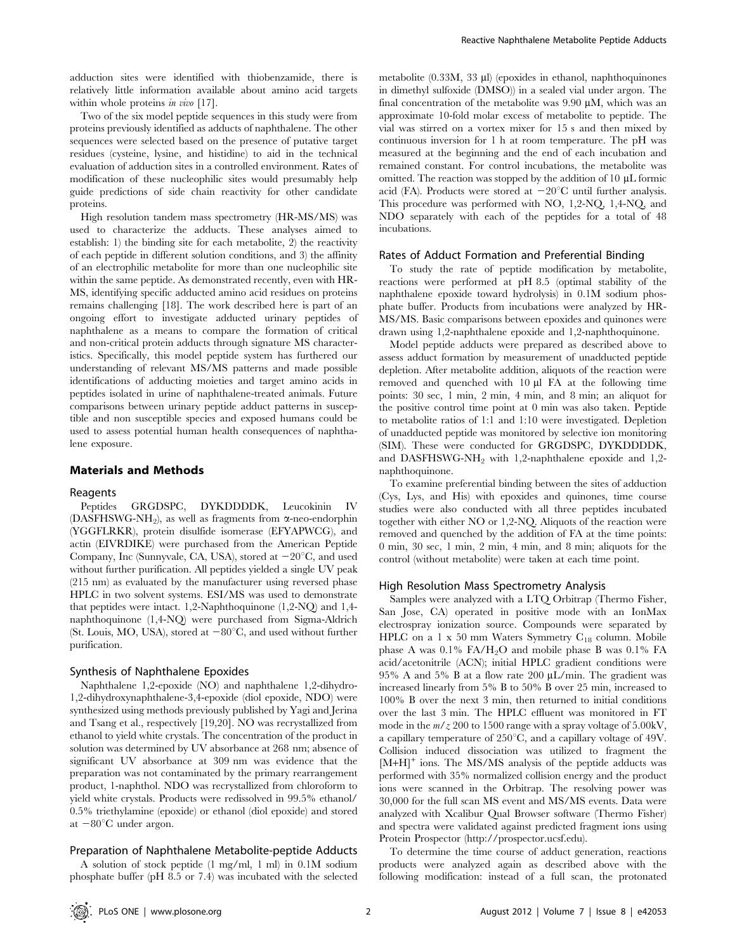adduction sites were identified with thiobenzamide, there is relatively little information available about amino acid targets within whole proteins in vivo [17].

Two of the six model peptide sequences in this study were from proteins previously identified as adducts of naphthalene. The other sequences were selected based on the presence of putative target residues (cysteine, lysine, and histidine) to aid in the technical evaluation of adduction sites in a controlled environment. Rates of modification of these nucleophilic sites would presumably help guide predictions of side chain reactivity for other candidate proteins.

High resolution tandem mass spectrometry (HR-MS/MS) was used to characterize the adducts. These analyses aimed to establish: 1) the binding site for each metabolite, 2) the reactivity of each peptide in different solution conditions, and 3) the affinity of an electrophilic metabolite for more than one nucleophilic site within the same peptide. As demonstrated recently, even with HR-MS, identifying specific adducted amino acid residues on proteins remains challenging [18]. The work described here is part of an ongoing effort to investigate adducted urinary peptides of naphthalene as a means to compare the formation of critical and non-critical protein adducts through signature MS characteristics. Specifically, this model peptide system has furthered our understanding of relevant MS/MS patterns and made possible identifications of adducting moieties and target amino acids in peptides isolated in urine of naphthalene-treated animals. Future comparisons between urinary peptide adduct patterns in susceptible and non susceptible species and exposed humans could be used to assess potential human health consequences of naphthalene exposure.

#### Materials and Methods

#### Reagents

Peptides GRGDSPC, DYKDDDDK, Leucokinin IV (DASFHSWG-NH<sub>2</sub>), as well as fragments from  $\alpha$ -neo-endorphin (YGGFLRKR), protein disulfide isomerase (EFYAPWCG), and actin (EIVRDIKE) were purchased from the American Peptide Company, Inc (Sunnyvale, CA, USA), stored at  $-20^{\circ}$ C, and used without further purification. All peptides yielded a single UV peak (215 nm) as evaluated by the manufacturer using reversed phase HPLC in two solvent systems. ESI/MS was used to demonstrate that peptides were intact. 1,2-Naphthoquinone (1,2-NQ) and 1,4 naphthoquinone (1,4-NQ) were purchased from Sigma-Aldrich (St. Louis, MO, USA), stored at  $-80^{\circ}$ C, and used without further purification.

#### Synthesis of Naphthalene Epoxides

Naphthalene 1,2-epoxide (NO) and naphthalene 1,2-dihydro-1,2-dihydroxynaphthalene-3,4-epoxide (diol epoxide, NDO) were synthesized using methods previously published by Yagi and Jerina and Tsang et al., respectively [19,20]. NO was recrystallized from ethanol to yield white crystals. The concentration of the product in solution was determined by UV absorbance at 268 nm; absence of significant UV absorbance at 309 nm was evidence that the preparation was not contaminated by the primary rearrangement product, 1-naphthol. NDO was recrystallized from chloroform to yield white crystals. Products were redissolved in 99.5% ethanol/ 0.5% triethylamine (epoxide) or ethanol (diol epoxide) and stored at  $-80^{\circ}$ C under argon.

#### Preparation of Naphthalene Metabolite-peptide Adducts

A solution of stock peptide (1 mg/ml, 1 ml) in 0.1M sodium phosphate buffer (pH 8.5 or 7.4) was incubated with the selected metabolite (0.33M, 33 µl) (epoxides in ethanol, naphthoquinones in dimethyl sulfoxide (DMSO)) in a sealed vial under argon. The final concentration of the metabolite was  $9.90 \mu M$ , which was an approximate 10-fold molar excess of metabolite to peptide. The vial was stirred on a vortex mixer for 15 s and then mixed by continuous inversion for 1 h at room temperature. The pH was measured at the beginning and the end of each incubation and remained constant. For control incubations, the metabolite was omitted. The reaction was stopped by the addition of  $10 \mu L$  formic acid (FA). Products were stored at  $-20^{\circ}$ C until further analysis. This procedure was performed with NO, 1,2-NQ, 1,4-NQ, and NDO separately with each of the peptides for a total of 48 incubations.

#### Rates of Adduct Formation and Preferential Binding

To study the rate of peptide modification by metabolite, reactions were performed at pH 8.5 (optimal stability of the naphthalene epoxide toward hydrolysis) in 0.1M sodium phosphate buffer. Products from incubations were analyzed by HR-MS/MS. Basic comparisons between epoxides and quinones were drawn using 1,2-naphthalene epoxide and 1,2-naphthoquinone.

Model peptide adducts were prepared as described above to assess adduct formation by measurement of unadducted peptide depletion. After metabolite addition, aliquots of the reaction were removed and quenched with 10 µl FA at the following time points: 30 sec, 1 min, 2 min, 4 min, and 8 min; an aliquot for the positive control time point at 0 min was also taken. Peptide to metabolite ratios of 1:1 and 1:10 were investigated. Depletion of unadducted peptide was monitored by selective ion monitoring (SIM). These were conducted for GRGDSPC, DYKDDDDK, and DASFHSWG-NH<sub>2</sub> with 1,2-naphthalene epoxide and 1,2naphthoquinone.

To examine preferential binding between the sites of adduction (Cys, Lys, and His) with epoxides and quinones, time course studies were also conducted with all three peptides incubated together with either NO or 1,2-NQ. Aliquots of the reaction were removed and quenched by the addition of FA at the time points: 0 min, 30 sec, 1 min, 2 min, 4 min, and 8 min; aliquots for the control (without metabolite) were taken at each time point.

#### High Resolution Mass Spectrometry Analysis

Samples were analyzed with a LTQ Orbitrap (Thermo Fisher, San Jose, CA) operated in positive mode with an IonMax electrospray ionization source. Compounds were separated by HPLC on a 1 x 50 mm Waters Symmetry  $C_{18}$  column. Mobile phase A was  $0.1\%$  FA/H<sub>2</sub>O and mobile phase B was  $0.1\%$  FA acid/acetonitrile (ACN); initial HPLC gradient conditions were 95% A and 5% B at a flow rate 200  $\mu$ L/min. The gradient was increased linearly from 5% B to 50% B over 25 min, increased to 100% B over the next 3 min, then returned to initial conditions over the last 3 min. The HPLC effluent was monitored in FT mode in the  $m/z 200$  to 1500 range with a spray voltage of 5.00kV, a capillary temperature of  $250^{\circ}$ C, and a capillary voltage of 49V. Collision induced dissociation was utilized to fragment the [M+H]<sup>+</sup> ions. The MS/MS analysis of the peptide adducts was performed with 35% normalized collision energy and the product ions were scanned in the Orbitrap. The resolving power was 30,000 for the full scan MS event and MS/MS events. Data were analyzed with Xcalibur Qual Browser software (Thermo Fisher) and spectra were validated against predicted fragment ions using Protein Prospector (http://prospector.ucsf.edu).

To determine the time course of adduct generation, reactions products were analyzed again as described above with the following modification: instead of a full scan, the protonated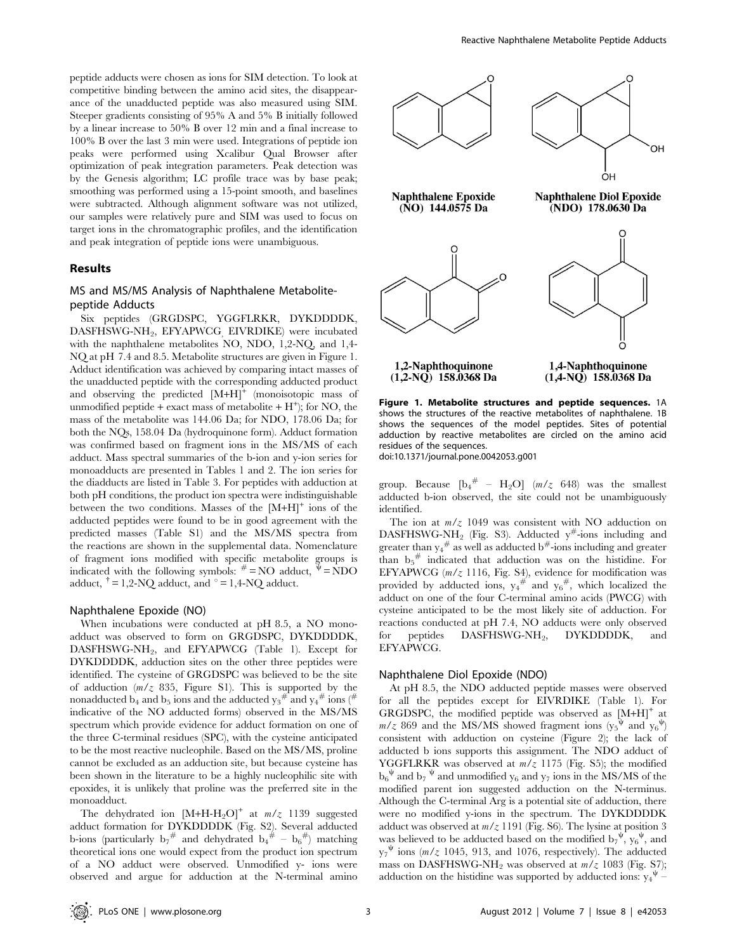peptide adducts were chosen as ions for SIM detection. To look at competitive binding between the amino acid sites, the disappearance of the unadducted peptide was also measured using SIM. Steeper gradients consisting of 95% A and 5% B initially followed by a linear increase to 50% B over 12 min and a final increase to 100% B over the last 3 min were used. Integrations of peptide ion peaks were performed using Xcalibur Qual Browser after optimization of peak integration parameters. Peak detection was by the Genesis algorithm; LC profile trace was by base peak; smoothing was performed using a 15-point smooth, and baselines were subtracted. Although alignment software was not utilized, our samples were relatively pure and SIM was used to focus on target ions in the chromatographic profiles, and the identification and peak integration of peptide ions were unambiguous.

#### Results

#### MS and MS/MS Analysis of Naphthalene Metabolitepeptide Adducts

Six peptides (GRGDSPC, YGGFLRKR, DYKDDDDK, DASFHSWG-NH2, EFYAPWCG, EIVRDIKE) were incubated with the naphthalene metabolites NO, NDO, 1,2-NQ, and 1,4- NQ at pH 7.4 and 8.5. Metabolite structures are given in Figure 1. Adduct identification was achieved by comparing intact masses of the unadducted peptide with the corresponding adducted product and observing the predicted  $[M+H]$ <sup>+</sup> (monoisotopic mass of unmodified peptide + exact mass of metabolite +  $H^+$ ; for NO, the mass of the metabolite was 144.06 Da; for NDO, 178.06 Da; for both the NQs, 158.04 Da (hydroquinone form). Adduct formation was confirmed based on fragment ions in the MS/MS of each adduct. Mass spectral summaries of the b-ion and y-ion series for monoadducts are presented in Tables 1 and 2. The ion series for the diadducts are listed in Table 3. For peptides with adduction at both pH conditions, the product ion spectra were indistinguishable between the two conditions. Masses of the  $[M+H]$ <sup>+</sup> ions of the adducted peptides were found to be in good agreement with the predicted masses (Table S1) and the MS/MS spectra from the reactions are shown in the supplemental data. Nomenclature of fragment ions modified with specific metabolite groups is indicated with the following symbols:  $# = NO$  adduct,  $\Psi = NDO$ adduct,  $\uparrow$  = 1,2-NQ adduct, and  $\circ$  = 1,4-NQ adduct.

#### Naphthalene Epoxide (NO)

When incubations were conducted at pH 8.5, a NO monoadduct was observed to form on GRGDSPC, DYKDDDDK, DASFHSWG-NH<sub>2</sub>, and EFYAPWCG (Table 1). Except for DYKDDDDK, adduction sites on the other three peptides were identified. The cysteine of GRGDSPC was believed to be the site of adduction  $(m/z 835,$  Figure S1). This is supported by the nonadducted  $b_4$  and  $b_5$  ions and the adducted  $y_3^{\#}$  and  $y_4^{\#}$  ions (<sup>#</sup> indicative of the NO adducted forms) observed in the MS/MS spectrum which provide evidence for adduct formation on one of the three C-terminal residues (SPC), with the cysteine anticipated to be the most reactive nucleophile. Based on the MS/MS, proline cannot be excluded as an adduction site, but because cysteine has been shown in the literature to be a highly nucleophilic site with epoxides, it is unlikely that proline was the preferred site in the monoadduct.

The dehydrated ion  $[M+H-H_2O]^+$  at  $m/z$  1139 suggested adduct formation for DYKDDDDK (Fig. S2). Several adducted b-ions (particularly  $b_7^{\#}$  and dehydrated  $b_4^{\#}$  –  $b_6^{\#}$ ) matching theoretical ions one would expect from the product ion spectrum of a NO adduct were observed. Unmodified y- ions were observed and argue for adduction at the N-terminal amino



Figure 1. Metabolite structures and peptide sequences. 1A shows the structures of the reactive metabolites of naphthalene. 1B shows the sequences of the model peptides. Sites of potential adduction by reactive metabolites are circled on the amino acid residues of the sequences.

doi:10.1371/journal.pone.0042053.g001

group. Because  $[b_4^{\#} - H_2O]$  (m/z 648) was the smallest adducted b-ion observed, the site could not be unambiguously identified.

The ion at  $m/z$  1049 was consistent with NO adduction on DASFHSWG-NH<sub>2</sub> (Fig. S3). Adducted  $y^{\#}$ -ions including and greater than  $y_4^{\#}$  as well as adducted b<sup>#</sup>-ions including and greater than  $b_5^{\#}$  indicated that adduction was on the histidine. For EFYAPWCG  $(m/z 1116, Fig. S4)$ , evidence for modification was provided by adducted ions,  $y_4^{\#}$  and  $y_6^{\#}$ , which localized the adduct on one of the four C-terminal amino acids (PWCG) with cysteine anticipated to be the most likely site of adduction. For reactions conducted at pH 7.4, NO adducts were only observed<br>for peptides DASFHSWG-NH<sub>2</sub>, DYKDDDDK, and for peptides DASFHSWG-NH<sub>2</sub>, DYKDDDDK, and EFYAPWCG.

#### Naphthalene Diol Epoxide (NDO)

At pH 8.5, the NDO adducted peptide masses were observed for all the peptides except for EIVRDIKE (Table 1). For GRGDSPC, the modified peptide was observed as  $[M+H]$ <sup>+</sup> at  $m/z$  869 and the MS/MS showed fragment ions  $(y_5^{\psi}$  and  $y_6^{\psi})$ consistent with adduction on cysteine (Figure 2); the lack of adducted b ions supports this assignment. The NDO adduct of YGGFLRKR was observed at  $m/z$  1175 (Fig. S5); the modified  $b_6^{\psi}$  and  $b_7^{\psi}$  and unmodified  $y_6$  and  $y_7$  ions in the MS/MS of the modified parent ion suggested adduction on the N-terminus. Although the C-terminal Arg is a potential site of adduction, there were no modified y-ions in the spectrum. The DYKDDDDK adduct was observed at  $m/z$  1191 (Fig. S6). The lysine at position 3 was believed to be adducted based on the modified  $b_7^{\psi}$ ,  $y_6^{\psi}$ , and  $y_7^{\psi}$  ions (m/z 1045, 913, and 1076, respectively). The adducted mass on DASFHSWG-NH<sub>2</sub> was observed at  $m/z$  1083 (Fig. S7); adduction on the histidine was supported by adducted ions:  $y_4^{\psi}$  –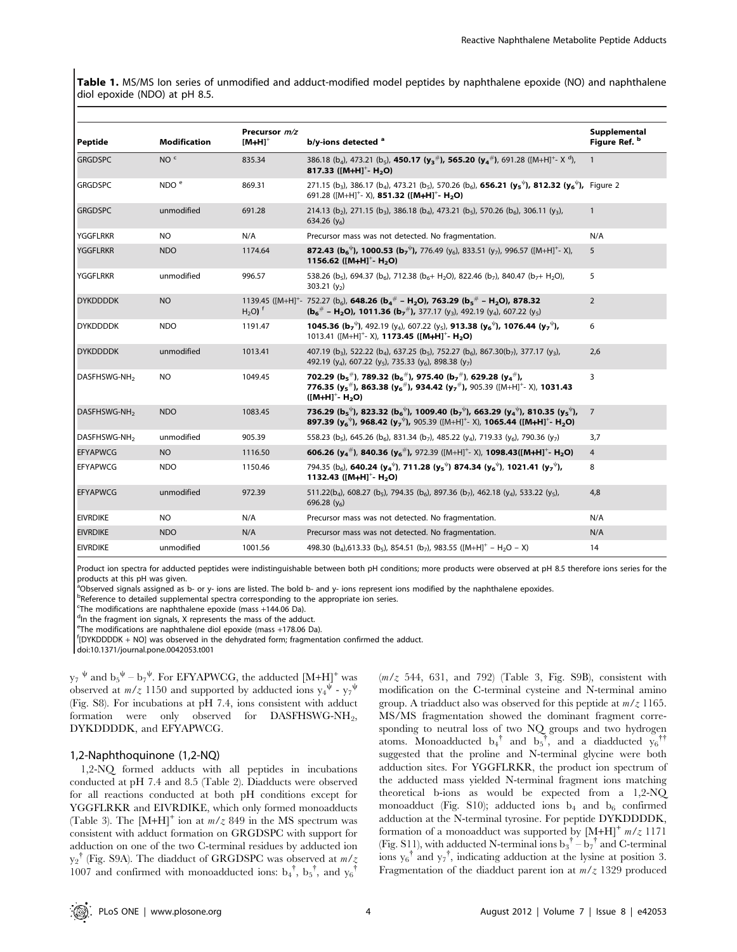Table 1. MS/MS lon series of unmodified and adduct-modified model peptides by naphthalene epoxide (NO) and naphthalene diol epoxide (NDO) at pH 8.5.

| Peptide                  | <b>Modification</b> | Precursor m/z<br>$[M+H]^+$ | b/y-ions detected $a$                                                                                                                                                                                                                                                                                                                                   | Supplemental<br>Figure Ref. b |
|--------------------------|---------------------|----------------------------|---------------------------------------------------------------------------------------------------------------------------------------------------------------------------------------------------------------------------------------------------------------------------------------------------------------------------------------------------------|-------------------------------|
| <b>GRGDSPC</b>           | NO <sup>c</sup>     | 835.34                     | 386.18 (b <sub>4</sub> ), 473.21 (b <sub>5</sub> ), <b>450.17 (y<sub>3</sub><sup>#</sup>), 565.20 (y<sub>4</sub><sup>#</sup>)</b> , 691.28 ([M+H] <sup>+</sup> - X <sup>d</sup> ),<br>817.33 ([M+H] <sup>+</sup> - H <sub>2</sub> O)                                                                                                                    | $\mathbf{1}$                  |
| <b>GRGDSPC</b>           | NDO <sup>e</sup>    | 869.31                     | 271.15 (b <sub>3</sub> ), 386.17 (b <sub>4</sub> ), 473.21 (b <sub>5</sub> ), 570.26 (b <sub>6</sub> ), <b>656.21 (y<sub>5</sub><sup>V</sup>), 812.32 (y<sub>6</sub><sup>V</sup>),</b> Figure 2<br>691.28 ( $[M+H]^{+}$ - X), 851.32 ( $[M+H]^{+}$ - H <sub>2</sub> O)                                                                                  |                               |
| <b>GRGDSPC</b>           | unmodified          | 691.28                     | 214.13 (b <sub>2</sub> ), 271.15 (b <sub>3</sub> ), 386.18 (b <sub>4</sub> ), 473.21 (b <sub>5</sub> ), 570.26 (b <sub>6</sub> ), 306.11 (y <sub>3</sub> ),<br>634.26 $(y_6)$                                                                                                                                                                           | $\mathbf{1}$                  |
| <b>YGGFLRKR</b>          | NO.                 | N/A                        | Precursor mass was not detected. No fragmentation.                                                                                                                                                                                                                                                                                                      | N/A                           |
| <b>YGGFLRKR</b>          | <b>NDO</b>          | 1174.64                    | <b>872.43 (b<sub>6</sub><sup><math>\psi</math></sup>), 1000.53 (b<sub>7</sub><sup><math>\psi</math></sup>), 776.49 (y<sub>6</sub>), 833.51 (y<sub>7</sub>), 996.57 ([M+H]<sup>+</sup>- X),</b><br>1156.62 ([M+H] <sup>+</sup> - H <sub>2</sub> O)                                                                                                       | 5                             |
| <b>YGGFLRKR</b>          | unmodified          | 996.57                     | 538.26 (b <sub>5</sub> ), 694.37 (b <sub>6</sub> ), 712.38 (b <sub>6</sub> + H <sub>2</sub> O), 822.46 (b <sub>7</sub> ), 840.47 (b <sub>7</sub> + H <sub>2</sub> O),<br>303.21 $(y_2)$                                                                                                                                                                 | 5                             |
| <b>DYKDDDDK</b>          | <b>NO</b>           | $H2O$ ) <sup>f</sup>       | 1139.45 ( $[M+H]^+$ - 752.27 (b <sub>6</sub> ), <b>648.26 (b<sub>4</sub><sup>#</sup> - H<sub>2</sub>O), 763.29 (b<sub>5</sub><sup>#</sup> - H<sub>2</sub>O), 878.32</b><br>$(b_6^{\#} - H_2O)$ , 1011.36 $(b_7^{\#})$ , 377.17 $(y_3)$ , 492.19 $(y_4)$ , 607.22 $(y_5)$                                                                                | $\overline{2}$                |
| <b>DYKDDDDK</b>          | <b>NDO</b>          | 1191.47                    | <b>1045.36 (b<sub>7</sub><sup><math>\psi</math></sup>)</b> , 492.19 (y <sub>4</sub> ), 607.22 (y <sub>5</sub> ), <b>913.38 (y<sub>6</sub><sup><math>\psi</math></sup>), 1076.44 (y<sub>7</sub><sup><math>\psi</math></sup>),</b><br>1013.41 ( $[M+H]^{+}$ - X), <b>1173.45 (<math>[M+H]^{+}</math>- H<sub>2</sub>O)</b>                                 | 6                             |
| <b>DYKDDDDK</b>          | unmodified          | 1013.41                    | 407.19 (b <sub>3</sub> ), 522.22 (b <sub>4</sub> ), 637.25 (b <sub>5</sub> ), 752.27 (b <sub>6</sub> ), 867.30(b <sub>7</sub> ), 377.17 (y <sub>3</sub> ),<br>492.19 (y <sub>4</sub> ), 607.22 (y <sub>5</sub> ), 735.33 (y <sub>6</sub> ), 898.38 (y <sub>7</sub> )                                                                                    | 2,6                           |
| DASFHSWG-NH <sub>2</sub> | <b>NO</b>           | 1049.45                    | 702.29 ( $b_5$ <sup>#</sup> ), 789.32 ( $b_6$ <sup>#</sup> ), 975.40 ( $b_7$ <sup>#</sup> ), 629.28 ( $y_4$ <sup>#</sup> ),<br>776.35 ( $y_5$ <sup>#</sup> ), 863.38 ( $y_6$ <sup>#</sup> ), 934.42 ( $y_7$ <sup>#</sup> ), 905.39 ([M+H] <sup>+</sup> - X), 1031.43<br>$([M+H]^+$ - H <sub>2</sub> O)                                                  | 3                             |
| DASFHSWG-NH <sub>2</sub> | <b>NDO</b>          | 1083.45                    | 736.29 (b <sub>5</sub> <sup><math>\psi</math></sup> ), 823.32 (b <sub>6</sub> <sup><math>\psi</math></sup> ), 1009.40 (b <sub>7</sub> $\psi$ ), 663.29 (y <sub>4</sub> $\psi$ ), 810.35 (y <sub>5</sub> $\psi$ ),<br>897.39 ( $y_6^{\psi}$ ), 968.42 ( $y_7^{\psi}$ ), 905.39 ([M+H] <sup>+</sup> - X), 1065.44 ([M+H] <sup>+</sup> - H <sub>2</sub> O) | $\overline{7}$                |
| DASFHSWG-NH <sub>2</sub> | unmodified          | 905.39                     | 558.23 (b <sub>5</sub> ), 645.26 (b <sub>6</sub> ), 831.34 (b <sub>7</sub> ), 485.22 (y <sub>4</sub> ), 719.33 (y <sub>6</sub> ), 790.36 (y <sub>7</sub> )                                                                                                                                                                                              | 3,7                           |
| <b>EFYAPWCG</b>          | <b>NO</b>           | 1116.50                    | 606.26 ( $y_4^{\#}$ ), 840.36 ( $y_6^{\#}$ ), 972.39 ([M+H] <sup>+</sup> - X), 1098.43([M+H] <sup>+</sup> - H <sub>2</sub> O)                                                                                                                                                                                                                           | $\overline{4}$                |
| <b>EFYAPWCG</b>          | <b>NDO</b>          | 1150.46                    | 794.35 (b <sub>6</sub> ), <b>640.24 (y<sub>4</sub><sup><math>\psi</math></sup>)</b> , <b>711.28 (y<sub>5</sub><sup><math>\psi</math></sup>) 874.34 (y<sub>6</sub><sup><math>\psi</math></sup>), 1021.41 (y<sub>7</sub><sup><math>\psi</math></sup>),</b><br>1132.43 ( $[M+H]^{+}$ - H <sub>2</sub> O)                                                   | 8                             |
| <b>EFYAPWCG</b>          | unmodified          | 972.39                     | 511.22(b <sub>4</sub> ), 608.27 (b <sub>5</sub> ), 794.35 (b <sub>6</sub> ), 897.36 (b <sub>7</sub> ), 462.18 (y <sub>4</sub> ), 533.22 (y <sub>5</sub> ),<br>696.28 $(y_6)$                                                                                                                                                                            | 4,8                           |
| <b>EIVRDIKE</b>          | <b>NO</b>           | N/A                        | Precursor mass was not detected. No fragmentation.                                                                                                                                                                                                                                                                                                      | N/A                           |
| <b>EIVRDIKE</b>          | <b>NDO</b>          | N/A                        | Precursor mass was not detected. No fragmentation.                                                                                                                                                                                                                                                                                                      | N/A                           |
| <b>EIVRDIKE</b>          | unmodified          | 1001.56                    | 498.30 (b <sub>4</sub> ),613.33 (b <sub>5</sub> ), 854.51 (b <sub>7</sub> ), 983.55 ([M+H] <sup>+</sup> - H <sub>2</sub> O - X)                                                                                                                                                                                                                         | 14                            |

Product ion spectra for adducted peptides were indistinguishable between both pH conditions; more products were observed at pH 8.5 therefore ions series for the products at this pH was given.

<sup>a</sup>Observed signals assigned as b- or y- ions are listed. The bold b- and y- ions represent ions modified by the naphthalene epoxides.

**bReference to detailed supplemental spectra corresponding to the appropriate ion series.** 

The modifications are naphthalene epoxide (mass  $+144.06$  Da).

<sup>d</sup>In the fragment ion signals, X represents the mass of the adduct.

<sup>e</sup> The modifications are naphthalene diol epoxide (mass +178.06 Da).<br>fIDYKDDDDK LAIOLwas observed in the debydsted form: frament

[DYKDDDDK + NO] was observed in the dehydrated form; fragmentation confirmed the adduct.

doi:10.1371/journal.pone.0042053.t001

 $y_7$ <sup> $\psi$ </sup> and  $b_5^{\psi} - b_7^{\psi}$ . For EFYAPWCG, the adducted [M+H]<sup>+</sup> was observed at  $m/z$  1150 and supported by adducted ions  $y_4^{\psi}$  -  $y_7^{\psi}$ (Fig. S8). For incubations at pH 7.4, ions consistent with adduct formation were only observed for DASFHSWG-NH<sub>2</sub>, DYKDDDDK, and EFYAPWCG.

#### 1,2-Naphthoquinone (1,2-NQ)

1,2-NQ formed adducts with all peptides in incubations conducted at pH 7.4 and 8.5 (Table 2). Diadducts were observed for all reactions conducted at both pH conditions except for YGGFLRKR and EIVRDIKE, which only formed monoadducts (Table 3). The  $[M+H]^+$  ion at  $m/z$  849 in the MS spectrum was consistent with adduct formation on GRGDSPC with support for adduction on one of the two C-terminal residues by adducted ion  $y_2$ <sup>†</sup> (Fig. S9A). The diadduct of GRGDSPC was observed at  $m/z$ 1007 and confirmed with monoadducted ions:  $b_4$ <sup>†</sup>,  $b_5$ <sup>†</sup>, and  $y_6$ <sup>†</sup>

 $(m/z)$  544, 631, and 792) (Table 3, Fig. S9B), consistent with modification on the C-terminal cysteine and N-terminal amino group. A triadduct also was observed for this peptide at  $m/z$  1165. MS/MS fragmentation showed the dominant fragment corresponding to neutral loss of two NQ groups and two hydrogen atoms. Monoadducted  $b_4$ <sup>†</sup> and  $b_5$ <sup>†</sup>, and a diadducted  $y_6$ <sup>††</sup> suggested that the proline and N-terminal glycine were both adduction sites. For YGGFLRKR, the product ion spectrum of the adducted mass yielded N-terminal fragment ions matching theoretical b-ions as would be expected from a 1,2-NQ monoadduct (Fig. S10); adducted ions  $b_4$  and  $b_6$  confirmed adduction at the N-terminal tyrosine. For peptide DYKDDDDK, formation of a monoadduct was supported by  $[M+H]^+ m/z$  1171 (Fig. S11), with adducted N-terminal ions  $b_3^{\dagger} - b_7^{\dagger}$  and C-terminal ions  $y_6^{\dagger}$  and  $y_7^{\dagger}$ , indicating adduction at the lysine at position 3. Fragmentation of the diadduct parent ion at  $m/z$  1329 produced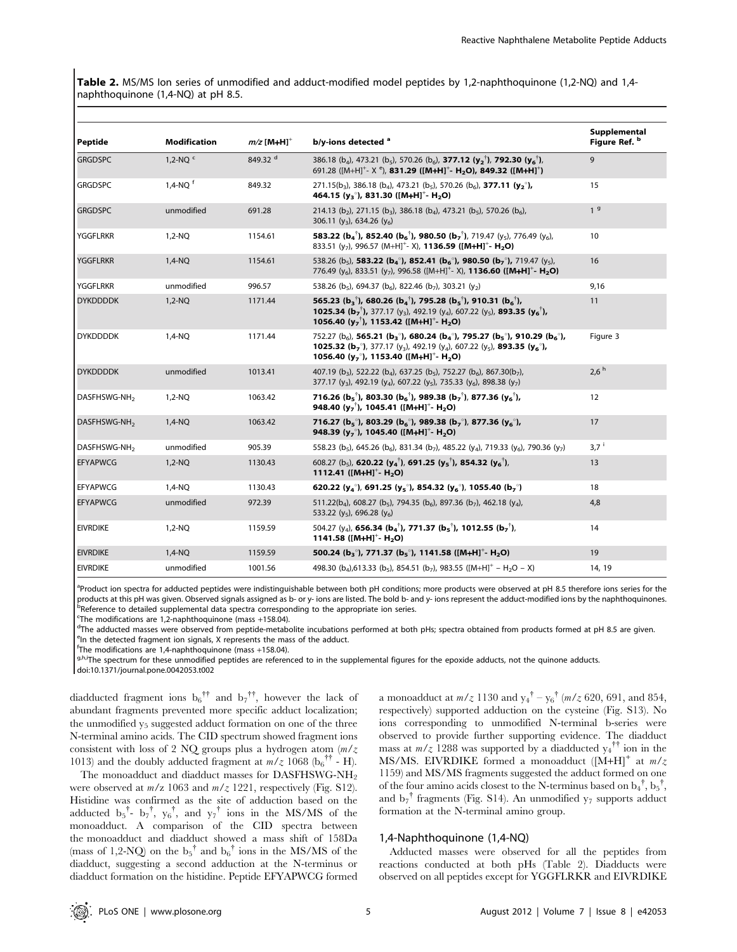Table 2. MS/MS Ion series of unmodified and adduct-modified model peptides by 1,2-naphthoquinone (1,2-NQ) and 1,4naphthoquinone (1,4-NQ) at pH 8.5.

| Peptide                  | <b>Modification</b>   | $m/z$ [M+H] <sup>+</sup> | b/y-ions detected <sup>a</sup>                                                                                                                                                                                                                                                                                                                                                                                                    | Supplemental<br>Figure Ref. b |
|--------------------------|-----------------------|--------------------------|-----------------------------------------------------------------------------------------------------------------------------------------------------------------------------------------------------------------------------------------------------------------------------------------------------------------------------------------------------------------------------------------------------------------------------------|-------------------------------|
| <b>GRGDSPC</b>           | $1.2-NOc$             | 849.32 <sup>d</sup>      | 386.18 (b <sub>4</sub> ), 473.21 (b <sub>5</sub> ), 570.26 (b <sub>6</sub> ), <b>377.12 (y<sub>2</sub><sup>†</sup>), 792.30 (y<sub>6</sub><sup>†</sup>)</b> ,<br>691.28 ([M+H] <sup>+</sup> - X <sup>e</sup> ), <b>831.29 ([M+H]<sup>+</sup>- H<sub>2</sub>O), 849.32 ([M+H]<sup>+</sup>)</b>                                                                                                                                     | 9                             |
| <b>GRGDSPC</b>           | $1,4-NQ$ <sup>f</sup> | 849.32                   | 271.15(b <sub>3</sub> ), 386.18 (b <sub>4</sub> ), 473.21 (b <sub>5</sub> ), 570.26 (b <sub>6</sub> ), <b>377.11 (y<sub>2</sub><sup>o</sup>),</b><br>464.15 ( $y_3^{\circ}$ ), 831.30 ([M+H] <sup>+</sup> - H <sub>2</sub> O)                                                                                                                                                                                                     | 15                            |
| <b>GRGDSPC</b>           | unmodified            | 691.28                   | 214.13 (b <sub>2</sub> ), 271.15 (b <sub>3</sub> ), 386.18 (b <sub>4</sub> ), 473.21 (b <sub>5</sub> ), 570.26 (b <sub>6</sub> ),<br>306.11 $(y_3)$ , 634.26 $(y_6)$                                                                                                                                                                                                                                                              | 1 <sup>9</sup>                |
| <b>YGGFLRKR</b>          | 1,2-NQ                | 1154.61                  | 583.22 ( $\mathbf{b}_4$ <sup>†</sup> ), 852.40 ( $\mathbf{b}_5$ <sup>†</sup> ), 980.50 ( $\mathbf{b}_7$ <sup>†</sup> ), 719.47 ( $y_5$ ), 776.49 ( $y_6$ ),<br>833.51 (y <sub>7</sub> ), 996.57 (M+H] <sup>+</sup> - X), <b>1136.59 ([M+H]<sup>+</sup>- H<sub>2</sub>O)</b>                                                                                                                                                       | 10                            |
| <b>YGGFLRKR</b>          | 1,4-NQ                | 1154.61                  | 538.26 (b <sub>5</sub> ), <b>583.22 (b<sub>4</sub>°), 852.41 (b<sub>6</sub>°), 980.50 (b<sub>7</sub>°), 719.47 (y<sub>5</sub>),</b><br>776.49 (y <sub>6</sub> ), 833.51 (y <sub>7</sub> ), 996.58 ([M+H] <sup>+</sup> - X), <b>1136.60 ([M+H]<sup>+</sup>- H<sub>2</sub>O)</b>                                                                                                                                                    | 16                            |
| <b>YGGFLRKR</b>          | unmodified            | 996.57                   | 538.26 ( $b_5$ ), 694.37 ( $b_6$ ), 822.46 ( $b_7$ ), 303.21 ( $y_2$ )                                                                                                                                                                                                                                                                                                                                                            | 9,16                          |
| <b>DYKDDDDK</b>          | $1,2-NQ$              | 1171.44                  | 565.23 ( $b_3$ <sup>†</sup> ), 680.26 ( $b_4$ <sup>†</sup> ), 795.28 ( $b_5$ <sup>†</sup> ), 910.31 ( $b_6$ <sup>†</sup> ),<br><b>1025.34 (b<sub>7</sub><sup>†</sup>),</b> 377.17 (y <sub>3</sub> ), 492.19 (y <sub>4</sub> ), 607.22 (y <sub>5</sub> ), <b>893.35 (y<sub>6</sub><sup>†</sup>),</b><br>1056.40 $(y_7^{\dagger})$ , 1153.42 ([M+H] <sup>+</sup> - H <sub>2</sub> O)                                                | 11                            |
| <b>DYKDDDDK</b>          | 1,4-NQ                | 1171.44                  | 752.27 (b <sub>6</sub> ), <b>565.21 (b<sub>3</sub><sup>o</sup>), 680.24 (b<sub>4</sub><sup>o</sup>), 795.27 (b<sub>5</sub><sup>o</sup>), 910.29 (b<sub>6</sub><sup>o</sup>),</b><br><b>1025.32 (b<sub>7</sub><sup>o</sup>)</b> , 377.17 (y <sub>3</sub> ), 492.19 (y <sub>4</sub> ), 607.22 (y <sub>5</sub> ), <b>893.35 (y<sub>6</sub><sup>o</sup>)</b> ,<br>1056.40 ( $y_7$ °), 1153.40 ([M+H] <sup>+</sup> - H <sub>2</sub> O) | Figure 3                      |
| <b>DYKDDDDK</b>          | unmodified            | 1013.41                  | 407.19 (b <sub>3</sub> ), 522.22 (b <sub>4</sub> ), 637.25 (b <sub>5</sub> ), 752.27 (b <sub>6</sub> ), 867.30(b <sub>7</sub> ),<br>377.17 (y <sub>3</sub> ), 492.19 (y <sub>4</sub> ), 607.22 (y <sub>5</sub> ), 735.33 (y <sub>6</sub> ), 898.38 (y <sub>7</sub> )                                                                                                                                                              | 2.6 <sup>h</sup>              |
| DASFHSWG-NH <sub>2</sub> | $1,2-NQ$              | 1063.42                  | 716.26 ( $b_5^{\dagger}$ ), 803.30 ( $b_6^{\dagger}$ ), 989.38 ( $b_7^{\dagger}$ ), 877.36 ( $y_6^{\dagger}$ ),<br>948.40 $(y_7^{\dagger})$ , 1045.41 ([M+H] <sup>+</sup> - H <sub>2</sub> O)                                                                                                                                                                                                                                     | 12                            |
| DASFHSWG-NH <sub>2</sub> | $1,4-NQ$              | 1063.42                  | 716.27 ( $b_5^{\circ}$ ), 803.29 ( $b_6^{\circ}$ ), 989.38 ( $b_7^{\circ}$ ), 877.36 ( $y_6^{\circ}$ ),<br>948.39 ( $y_7^{\circ}$ ), 1045.40 ([M+H] <sup>+</sup> - H <sub>2</sub> O)                                                                                                                                                                                                                                              | 17                            |
| DASFHSWG-NH <sub>2</sub> | unmodified            | 905.39                   | 558.23 (b <sub>5</sub> ), 645.26 (b <sub>6</sub> ), 831.34 (b <sub>7</sub> ), 485.22 (y <sub>4</sub> ), 719.33 (y <sub>6</sub> ), 790.36 (y <sub>7</sub> )                                                                                                                                                                                                                                                                        | $3.7^{\text{ i}}$             |
| <b>EFYAPWCG</b>          | $1,2-NQ$              | 1130.43                  | 608.27 (b <sub>5</sub> ), <b>620.22 (y<sub>4</sub><sup>†</sup>), 691.25 (y<sub>5</sub><sup>†</sup>), 854.32 (y<sub>6</sub><sup>†</sup>),</b><br>1112.41 ( $[M+H]$ <sup>+</sup> - H <sub>2</sub> O)                                                                                                                                                                                                                                | 13                            |
| l EFYAPWCG               | 1,4-NQ                | 1130.43                  | 620.22 $(y_4^{\circ})$ , 691.25 $(y_5^{\circ})$ , 854.32 $(y_6^{\circ})$ , 1055.40 $(b_7^{\circ})$                                                                                                                                                                                                                                                                                                                                | 18                            |
| <b>EFYAPWCG</b>          | unmodified            | 972.39                   | 511.22(b <sub>4</sub> ), 608.27 (b <sub>5</sub> ), 794.35 (b <sub>6</sub> ), 897.36 (b <sub>7</sub> ), 462.18 (y <sub>4</sub> ),<br>533.22 ( $y_5$ ), 696.28 ( $y_6$ )                                                                                                                                                                                                                                                            | 4,8                           |
| <b>EIVRDIKE</b>          | 1,2-NQ                | 1159.59                  | 504.27 (y <sub>4</sub> ), <b>656.34 (b<sub>4</sub><sup>†</sup>), 771.37 (b<sub>5</sub><sup>†</sup>), 1012.55 (b<sub>7</sub><sup>†</sup>),</b><br>1141.58 ( $[M+H]^{+}$ - H <sub>2</sub> O)                                                                                                                                                                                                                                        | 14                            |
| <b>EIVRDIKE</b>          | $1,4-NQ$              | 1159.59                  | 500.24 ( $b_3^{\circ}$ ), 771.37 ( $b_5^{\circ}$ ), 1141.58 ([M+H] <sup>+</sup> - H <sub>2</sub> O)                                                                                                                                                                                                                                                                                                                               | 19                            |
| <b>EIVRDIKE</b>          | unmodified            | 1001.56                  | 498.30 (b <sub>4</sub> ),613.33 (b <sub>5</sub> ), 854.51 (b <sub>7</sub> ), 983.55 ([M+H] <sup>+</sup> - H <sub>2</sub> O - X)                                                                                                                                                                                                                                                                                                   | 14, 19                        |

<sup>a</sup>Product ion spectra for adducted peptides were indistinguishable between both pH conditions; more products were observed at pH 8.5 therefore ions series for the products at this pH was given. Observed signals assigned as b- or y- ions are listed. The bold b- and y- ions represent the adduct-modified ions by the naphthoquinones. Reference to detailed supplemental data spectra corresponding to the appropriate ion series.

The modifications are  $1,2$ -naphthoquinone (mass +158.04).

<sup>d</sup>The adducted masses were observed from peptide-metabolite incubations performed at both pHs; spectra obtained from products formed at pH 8.5 are given.

<sup>e</sup>In the detected fragment ion signals, X represents the mass of the adduct.

<sup>f</sup>The modifications are 1,4-naphthoquinone (mass +158.04).

g,h,iThe spectrum for these unmodified peptides are referenced to in the supplemental figures for the epoxide adducts, not the quinone adducts.

doi:10.1371/journal.pone.0042053.t002

diadducted fragment ions  $b_6$ <sup>††</sup> and  $b_7$ <sup>††</sup>, however the lack of abundant fragments prevented more specific adduct localization; the unmodified  $y_5$  suggested adduct formation on one of the three N-terminal amino acids. The CID spectrum showed fragment ions consistent with loss of 2 NQ groups plus a hydrogen atom  $(m/z)$ 1013) and the doubly adducted fragment at  $m/z$  1068 (b<sub>6</sub><sup>††</sup> - H).

The monoadduct and diadduct masses for DASFHSWG-NH<sub>2</sub> were observed at  $m/z$  1063 and  $m/z$  1221, respectively (Fig. S12). Histidine was confirmed as the site of adduction based on the adducted  $b_5^{\dagger}$ -  $b_7^{\dagger}$ ,  $y_6^{\dagger}$ , and  $y_7^{\dagger}$  ions in the MS/MS of the monoadduct. A comparison of the CID spectra between the monoadduct and diadduct showed a mass shift of 158Da (mass of 1,2-NQ) on the  $b_5^{\dagger}$  and  $b_6^{\dagger}$  ions in the MS/MS of the diadduct, suggesting a second adduction at the N-terminus or diadduct formation on the histidine. Peptide EFYAPWCG formed

a monoadduct at  $m/z$  1130 and  $y_4^{\dagger} - y_6^{\dagger}$  ( $m/z$  620, 691, and 854, respectively) supported adduction on the cysteine (Fig. S13). No ions corresponding to unmodified N-terminal b-series were observed to provide further supporting evidence. The diadduct mass at  $m/z$  1288 was supported by a diadducted  $y_4$ <sup>††</sup> ion in the MS/MS. EIVRDIKE formed a monoadduct  $([M+H]^{+}$  at  $m/z$ 1159) and MS/MS fragments suggested the adduct formed on one of the four amino acids closest to the N-terminus based on  $b_4^{\dagger}$ ,  $b_5^{\dagger}$ , and  $b_7$ <sup>†</sup> fragments (Fig. S14). An unmodified y<sub>7</sub> supports adduct formation at the N-terminal amino group.

#### 1,4-Naphthoquinone (1,4-NQ)

Adducted masses were observed for all the peptides from reactions conducted at both pHs (Table 2). Diadducts were observed on all peptides except for YGGFLRKR and EIVRDIKE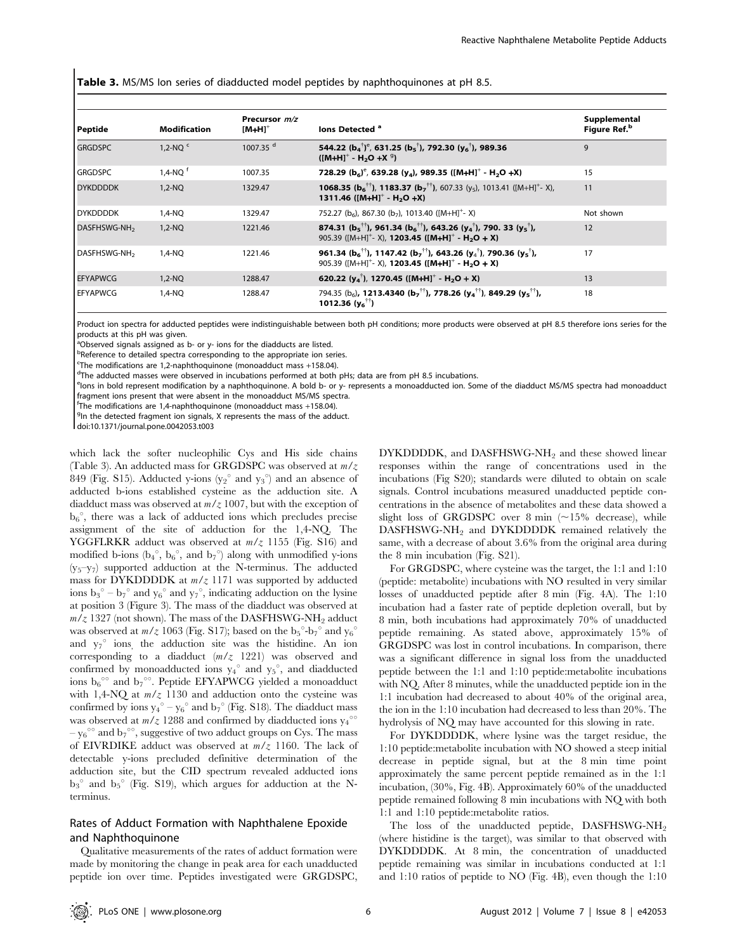Table 3. MS/MS Ion series of diadducted model peptides by naphthoquinones at pH 8.5.

| Peptide                  | <b>Modification</b>   | Precursor $m/z$<br>$IM+HI^+$ | lons Detected <sup>a</sup>                                                                                                                                                                                                | Supplemental<br>Figure Ref. <sup>b</sup> |
|--------------------------|-----------------------|------------------------------|---------------------------------------------------------------------------------------------------------------------------------------------------------------------------------------------------------------------------|------------------------------------------|
| <b>GRGDSPC</b>           | 1.2-NO $\degree$      | 1007.35 <sup>d</sup>         | 544.22 $(b_4^{\dagger})^e$ , 631.25 $(b_5^{\dagger})$ , 792.30 $(y_6^{\dagger})$ , 989.36<br>$([M+H]^+ - H_2O + X^9)$                                                                                                     | 9                                        |
| <b>GRGDSPC</b>           | $1,4-NQ$ <sup>t</sup> | 1007.35                      | 728.29 $(b_6)^e$ , 639.28 $(y_4)$ , 989.35 $([M+H]^+$ - H <sub>2</sub> O +X)                                                                                                                                              | 15                                       |
| <b>DYKDDDDK</b>          | $1.2-NO$              | 1329.47                      | <b>1068.35 (b<sub>6</sub><sup>††</sup>), <b>1183.37 (b</b><sub>7</sub><sup>††</sup>), 607.33 (y<sub>5</sub>), 1013.41 ([M+H]<sup>+</sup>- X),</b><br>1311.46 ( $[M+H]^{+}$ - H <sub>2</sub> O +X)                         | 11                                       |
| <b>DYKDDDDK</b>          | 1,4-NQ                | 1329.47                      | 752.27 (b <sub>6</sub> ), 867.30 (b <sub>7</sub> ), 1013.40 ([M+H] <sup>+</sup> -X)                                                                                                                                       | Not shown                                |
| DASFHSWG-NH <sub>2</sub> | $1,2-NQ$              | 1221.46                      | 874.31 ( $b_5$ <sup>††</sup> ), 961.34 ( $b_6$ <sup>††</sup> ), 643.26 ( $y_4$ <sup>†</sup> ), 790. 33 ( $y_5$ <sup>†</sup> ),<br>905.39 ( $[M+H]^{+}$ - X), <b>1203.45 (<math>[M+H]^{+}</math> - H<sub>2</sub>O + X)</b> | 12                                       |
| DASFHSWG-NH <sub>2</sub> | $1.4-NO$              | 1221.46                      | 961.34 ( $b_6$ <sup>††</sup> ), 1147.42 ( $b_7$ <sup>††</sup> ), 643.26 ( $y_4$ <sup>†</sup> ), 790.36 ( $y_5$ <sup>†</sup> ),<br>905.39 ( $[M+H]^{+}$ - X), <b>1203.45 ([M+H]<sup>+</sup> - H<sub>2</sub>O + X)</b>      | 17                                       |
| <b>EFYAPWCG</b>          | $1.2-NO$              | 1288.47                      | 620.22 $(y_4^{\dagger})$ , 1270.45 $([M+H]^+$ - H <sub>2</sub> O + X)                                                                                                                                                     | 13                                       |
| <b>EFYAPWCG</b>          | 1,4-NQ                | 1288.47                      | 794.35 (b <sub>6</sub> ), <b>1213.4340 (b<sub>7</sub><sup>††</sup>), 778.26 (y<sub>4</sub><sup>††</sup>), 849.29 (y<sub>5</sub><sup>††</sup>),</b><br>1012.36 $(y_6^{\dagger\dagger})$                                    | 18                                       |

Product ion spectra for adducted peptides were indistinguishable between both pH conditions; more products were observed at pH 8.5 therefore ions series for the products at this pH was given.

<sup>a</sup>Observed signals assigned as b- or y- ions for the diadducts are listed.

<sup>b</sup>Reference to detailed spectra corresponding to the appropriate ion series.

<sup>c</sup>The modifications are 1.2-naphthoguinone (monoadduct mass +158.04).

<sup>c</sup>The modifications are 1,2-naphthoquinone (monoadduct mass +158.04).<br><sup>d</sup>The adducted masses were observed in incubations performed at both pHs; data are from pH 8.5 incubations.

elons in bold represent modification by a naphthoquinone. A bold b- or y- represents a monoadducted ion. Some of the diadduct MS/MS spectra had monoadduct fragment ions present that were absent in the monoadduct MS/MS spectra.

f The modifications are 1,4-naphthoquinone (monoadduct mass +158.04).<br><sup>g</sup> the detected fragment ion signals. Y represents the mass of the add

 $9$ In the detected fragment ion signals, X represents the mass of the adduct

doi:10.1371/journal.pone.0042053.t003

which lack the softer nucleophilic Cys and His side chains (Table 3). An adducted mass for GRGDSPC was observed at  $m/z$ 849 (Fig. S15). Adducted y-ions ( $y_2^\circ$  and  $y_3^\circ$ ) and an absence of adducted b-ions established cysteine as the adduction site. A diadduct mass was observed at  $m/z$  1007, but with the exception of  $b_6^\circ$ , there was a lack of adducted ions which precludes precise assignment of the site of adduction for the 1,4-NQ. The YGGFLRKR adduct was observed at  $m/z$  1155 (Fig. S16) and modified b-ions  $(b_4^{\circ}, b_6^{\circ},$  and  $b_7^{\circ})$  along with unmodified y-ions  $(y_5-y_7)$  supported adduction at the N-terminus. The adducted mass for DYKDDDDK at  $m/z$  1171 was supported by adducted ions  $b_3^\circ - b_7^\circ$  and  $y_6^\circ$  and  $y_7^\circ$ , indicating adduction on the lysine at position 3 (Figure 3). The mass of the diadduct was observed at  $m/z$  1327 (not shown). The mass of the DASFHSWG-NH<sub>2</sub> adduct was observed at  $m/z$  1063 (Fig. S17); based on the  $b_5^{\circ}$ - $b_7^{\circ}$  and  $y_6^{\circ}$ and  $y_7$ <sup>o</sup> ions, the adduction site was the histidine. An ion corresponding to a diadduct  $(m/z \ 1221)$  was observed and confirmed by monoadducted ions  $y_4^\circ$  and  $y_5^\circ$ , and diadducted ions  $b_6^{\circ\circ}$  and  $b_7^{\circ\circ}$ . Peptide EFYAPWCG yielded a monoadduct with 1,4-NQ at  $m/z$  1130 and adduction onto the cysteine was confirmed by ions  ${y_4}^\circ - {y_6}^\circ$  and  ${b_7}^\circ$  (Fig. S18). The diadduct mass was observed at  $m/z$  1288 and confirmed by diadducted ions  $y_4^{\circ\circ}$ –  $y_6^{\circ\circ}$  and  $b_7^{\circ\circ}$ , suggestive of two adduct groups on Cys. The mass of EIVRDIKE adduct was observed at  $m/z$  1160. The lack of detectable y-ions precluded definitive determination of the adduction site, but the CID spectrum revealed adducted ions  $b_3$ <sup>o</sup> and  $b_5$ <sup>o</sup> (Fig. S19), which argues for adduction at the Nterminus.

#### Rates of Adduct Formation with Naphthalene Epoxide and Naphthoquinone

Qualitative measurements of the rates of adduct formation were made by monitoring the change in peak area for each unadducted peptide ion over time. Peptides investigated were GRGDSPC,

DYKDDDDK, and DASFHSWG-NH<sub>2</sub> and these showed linear responses within the range of concentrations used in the incubations (Fig S20); standards were diluted to obtain on scale signals. Control incubations measured unadducted peptide concentrations in the absence of metabolites and these data showed a slight loss of GRGDSPC over 8 min  $(~15\%$  decrease), while DASFHSWG-NH<sub>2</sub> and DYKDDDDK remained relatively the same, with a decrease of about 3.6% from the original area during the 8 min incubation (Fig. S21).

For GRGDSPC, where cysteine was the target, the 1:1 and 1:10 (peptide: metabolite) incubations with NO resulted in very similar losses of unadducted peptide after 8 min (Fig. 4A). The 1:10 incubation had a faster rate of peptide depletion overall, but by 8 min, both incubations had approximately 70% of unadducted peptide remaining. As stated above, approximately 15% of GRGDSPC was lost in control incubations. In comparison, there was a significant difference in signal loss from the unadducted peptide between the 1:1 and 1:10 peptide:metabolite incubations with NQ. After 8 minutes, while the unadducted peptide ion in the 1:1 incubation had decreased to about 40% of the original area, the ion in the 1:10 incubation had decreased to less than 20%. The hydrolysis of NQ may have accounted for this slowing in rate.

For DYKDDDDK, where lysine was the target residue, the 1:10 peptide:metabolite incubation with NO showed a steep initial decrease in peptide signal, but at the 8 min time point approximately the same percent peptide remained as in the 1:1 incubation, (30%, Fig. 4B). Approximately 60% of the unadducted peptide remained following 8 min incubations with NQ with both 1:1 and 1:10 peptide:metabolite ratios.

The loss of the unadducted peptide, DASFHSWG-NH2 (where histidine is the target), was similar to that observed with DYKDDDDK. At 8 min, the concentration of unadducted peptide remaining was similar in incubations conducted at 1:1 and 1:10 ratios of peptide to NO (Fig. 4B), even though the 1:10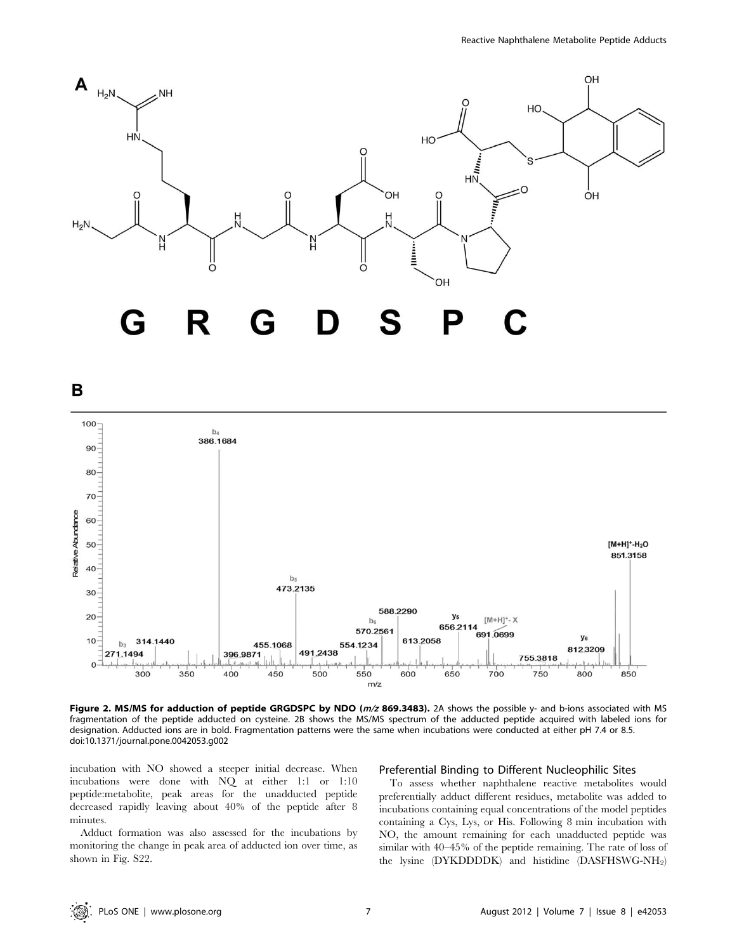

B



Figure 2. MS/MS for adduction of peptide GRGDSPC by NDO ( $m/z$  869.3483). 2A shows the possible y- and b-ions associated with MS fragmentation of the peptide adducted on cysteine. 2B shows the MS/MS spectrum of the adducted peptide acquired with labeled ions for designation. Adducted ions are in bold. Fragmentation patterns were the same when incubations were conducted at either pH 7.4 or 8.5. doi:10.1371/journal.pone.0042053.g002

incubation with NO showed a steeper initial decrease. When incubations were done with NQ at either 1:1 or 1:10 peptide:metabolite, peak areas for the unadducted peptide decreased rapidly leaving about 40% of the peptide after 8 minutes.

Adduct formation was also assessed for the incubations by monitoring the change in peak area of adducted ion over time, as shown in Fig. S22.

#### Preferential Binding to Different Nucleophilic Sites

To assess whether naphthalene reactive metabolites would preferentially adduct different residues, metabolite was added to incubations containing equal concentrations of the model peptides containing a Cys, Lys, or His. Following 8 min incubation with NO, the amount remaining for each unadducted peptide was similar with 40–45% of the peptide remaining. The rate of loss of the lysine (DYKDDDDK) and histidine (DASFHSWG-NH<sub>2</sub>)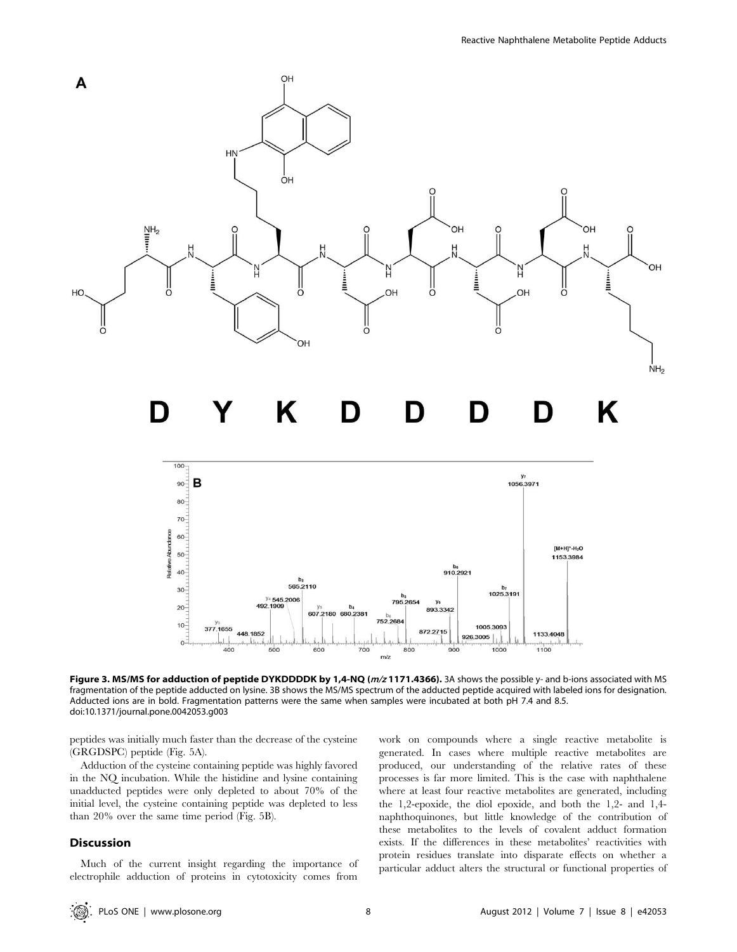

Figure 3. MS/MS for adduction of peptide DYKDDDDK by 1,4-NQ ( $m/z$ 1171.4366). 3A shows the possible y- and b-ions associated with MS fragmentation of the peptide adducted on lysine. 3B shows the MS/MS spectrum of the adducted peptide acquired with labeled ions for designation. Adducted ions are in bold. Fragmentation patterns were the same when samples were incubated at both pH 7.4 and 8.5. doi:10.1371/journal.pone.0042053.g003

700

 $m/z$ 

800

900

peptides was initially much faster than the decrease of the cysteine (GRGDSPC) peptide (Fig. 5A).

والنوابات

500

600

400

 $\Omega$ 

Adduction of the cysteine containing peptide was highly favored in the NQ incubation. While the histidine and lysine containing unadducted peptides were only depleted to about 70% of the initial level, the cysteine containing peptide was depleted to less than 20% over the same time period (Fig. 5B).

#### Discussion

Much of the current insight regarding the importance of electrophile adduction of proteins in cytotoxicity comes from

work on compounds where a single reactive metabolite is generated. In cases where multiple reactive metabolites are produced, our understanding of the relative rates of these processes is far more limited. This is the case with naphthalene where at least four reactive metabolites are generated, including the 1,2-epoxide, the diol epoxide, and both the 1,2- and 1,4 naphthoquinones, but little knowledge of the contribution of these metabolites to the levels of covalent adduct formation exists. If the differences in these metabolites' reactivities with protein residues translate into disparate effects on whether a particular adduct alters the structural or functional properties of

1000

1100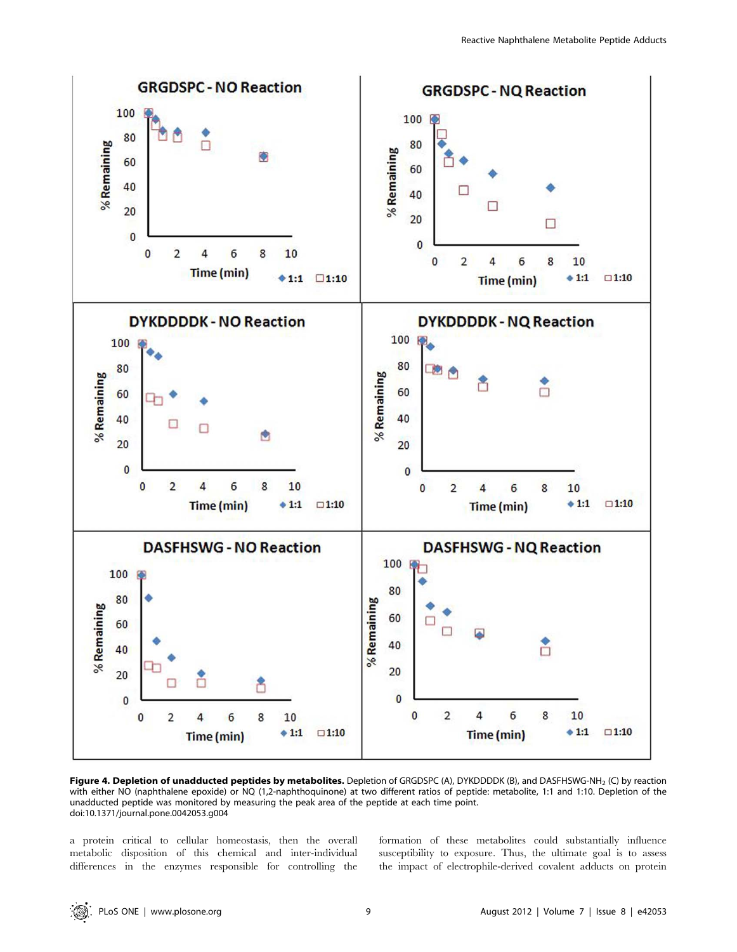

Figure 4. Depletion of unadducted peptides by metabolites. Depletion of GRGDSPC (A), DYKDDDDK (B), and DASFHSWG-NH<sub>2</sub> (C) by reaction with either NO (naphthalene epoxide) or NQ (1,2-naphthoquinone) at two different ratios of peptide: metabolite, 1:1 and 1:10. Depletion of the unadducted peptide was monitored by measuring the peak area of the peptide at each time point. doi:10.1371/journal.pone.0042053.g004

a protein critical to cellular homeostasis, then the overall metabolic disposition of this chemical and inter-individual differences in the enzymes responsible for controlling the formation of these metabolites could substantially influence susceptibility to exposure. Thus, the ultimate goal is to assess the impact of electrophile-derived covalent adducts on protein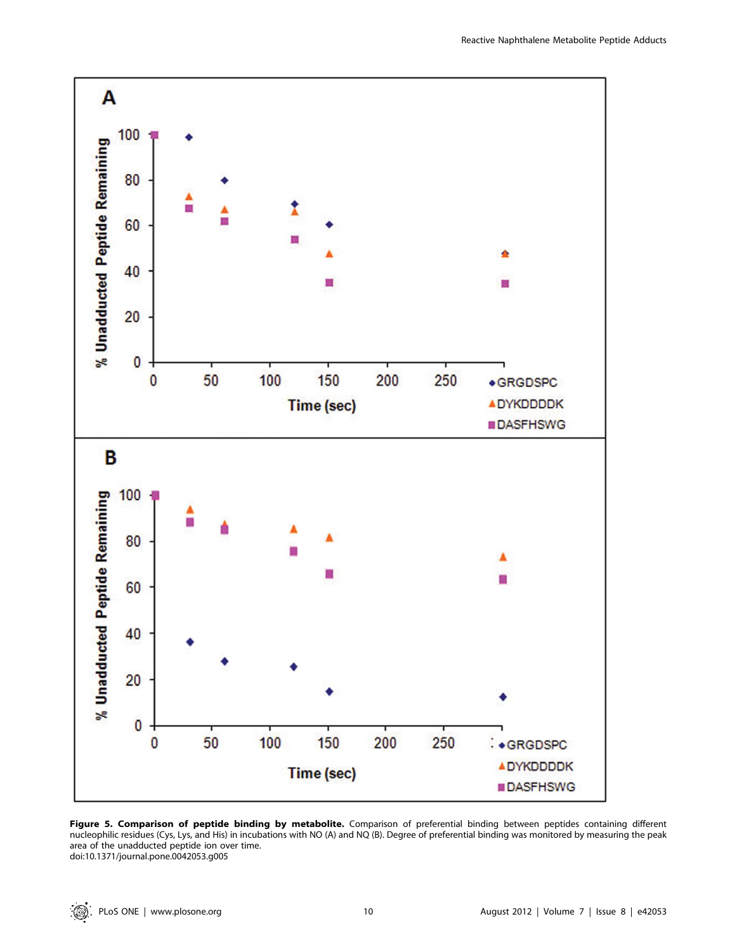

Figure 5. Comparison of peptide binding by metabolite. Comparison of preferential binding between peptides containing different nucleophilic residues (Cys, Lys, and His) in incubations with NO (A) and NQ (B). Degree of preferential binding was monitored by measuring the peak area of the unadducted peptide ion over time. doi:10.1371/journal.pone.0042053.g005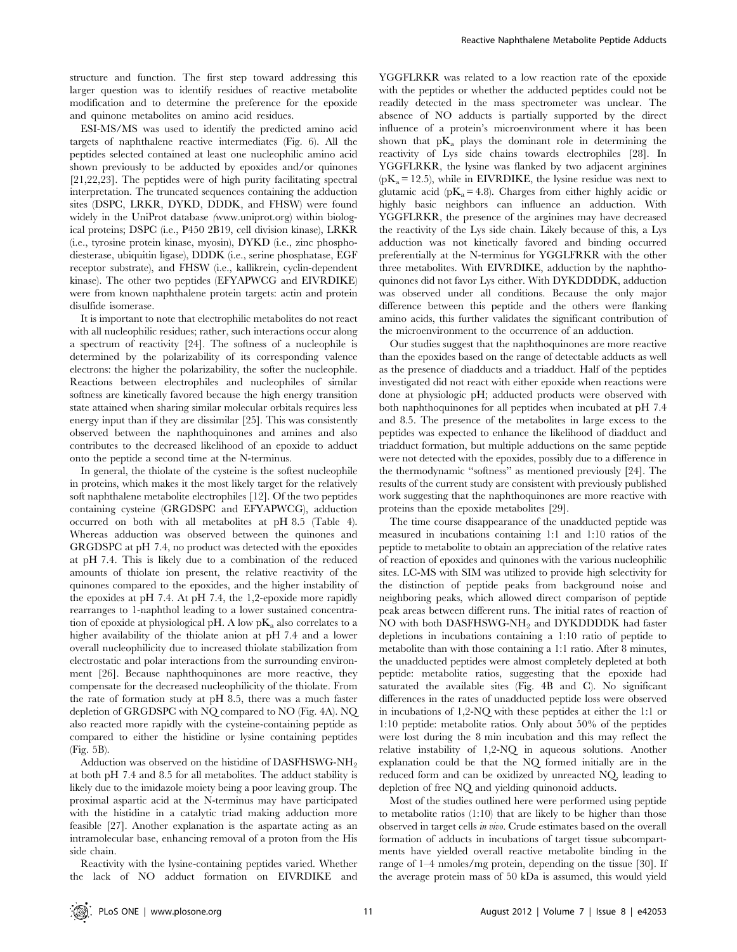structure and function. The first step toward addressing this larger question was to identify residues of reactive metabolite modification and to determine the preference for the epoxide and quinone metabolites on amino acid residues.

ESI-MS/MS was used to identify the predicted amino acid targets of naphthalene reactive intermediates (Fig. 6). All the peptides selected contained at least one nucleophilic amino acid shown previously to be adducted by epoxides and/or quinones [21,22,23]. The peptides were of high purity facilitating spectral interpretation. The truncated sequences containing the adduction sites (DSPC, LRKR, DYKD, DDDK, and FHSW) were found widely in the UniProt database (www.uniprot.org) within biological proteins; DSPC (i.e., P450 2B19, cell division kinase), LRKR (i.e., tyrosine protein kinase, myosin), DYKD (i.e., zinc phosphodiesterase, ubiquitin ligase), DDDK (i.e., serine phosphatase, EGF receptor substrate), and FHSW (i.e., kallikrein, cyclin-dependent kinase). The other two peptides (EFYAPWCG and EIVRDIKE) were from known naphthalene protein targets: actin and protein disulfide isomerase.

It is important to note that electrophilic metabolites do not react with all nucleophilic residues; rather, such interactions occur along a spectrum of reactivity [24]. The softness of a nucleophile is determined by the polarizability of its corresponding valence electrons: the higher the polarizability, the softer the nucleophile. Reactions between electrophiles and nucleophiles of similar softness are kinetically favored because the high energy transition state attained when sharing similar molecular orbitals requires less energy input than if they are dissimilar [25]. This was consistently observed between the naphthoquinones and amines and also contributes to the decreased likelihood of an epoxide to adduct onto the peptide a second time at the N-terminus.

In general, the thiolate of the cysteine is the softest nucleophile in proteins, which makes it the most likely target for the relatively soft naphthalene metabolite electrophiles [12]. Of the two peptides containing cysteine (GRGDSPC and EFYAPWCG), adduction occurred on both with all metabolites at pH 8.5 (Table 4). Whereas adduction was observed between the quinones and GRGDSPC at pH 7.4, no product was detected with the epoxides at pH 7.4. This is likely due to a combination of the reduced amounts of thiolate ion present, the relative reactivity of the quinones compared to the epoxides, and the higher instability of the epoxides at pH 7.4. At pH 7.4, the 1,2-epoxide more rapidly rearranges to 1-naphthol leading to a lower sustained concentration of epoxide at physiological pH. A low  $pK_a$  also correlates to a higher availability of the thiolate anion at pH 7.4 and a lower overall nucleophilicity due to increased thiolate stabilization from electrostatic and polar interactions from the surrounding environment [26]. Because naphthoquinones are more reactive, they compensate for the decreased nucleophilicity of the thiolate. From the rate of formation study at pH 8.5, there was a much faster depletion of GRGDSPC with NQ compared to NO (Fig. 4A). NQ also reacted more rapidly with the cysteine-containing peptide as compared to either the histidine or lysine containing peptides (Fig. 5B).

Adduction was observed on the histidine of DASFHSWG-NH<sub>2</sub> at both pH 7.4 and 8.5 for all metabolites. The adduct stability is likely due to the imidazole moiety being a poor leaving group. The proximal aspartic acid at the N-terminus may have participated with the histidine in a catalytic triad making adduction more feasible [27]. Another explanation is the aspartate acting as an intramolecular base, enhancing removal of a proton from the His side chain.

Reactivity with the lysine-containing peptides varied. Whether the lack of NO adduct formation on EIVRDIKE and YGGFLRKR was related to a low reaction rate of the epoxide with the peptides or whether the adducted peptides could not be readily detected in the mass spectrometer was unclear. The absence of NO adducts is partially supported by the direct influence of a protein's microenvironment where it has been shown that  $pK_a$  plays the dominant role in determining the reactivity of Lys side chains towards electrophiles [28]. In YGGFLRKR, the lysine was flanked by two adjacent arginines  $(pK_a = 12.5)$ , while in EIVRDIKE, the lysine residue was next to glutamic acid ( $pK_a$  = 4.8). Charges from either highly acidic or highly basic neighbors can influence an adduction. With YGGFLRKR, the presence of the arginines may have decreased the reactivity of the Lys side chain. Likely because of this, a Lys adduction was not kinetically favored and binding occurred preferentially at the N-terminus for YGGLFRKR with the other three metabolites. With EIVRDIKE, adduction by the naphthoquinones did not favor Lys either. With DYKDDDDK, adduction was observed under all conditions. Because the only major difference between this peptide and the others were flanking amino acids, this further validates the significant contribution of the microenvironment to the occurrence of an adduction.

Our studies suggest that the naphthoquinones are more reactive than the epoxides based on the range of detectable adducts as well as the presence of diadducts and a triadduct. Half of the peptides investigated did not react with either epoxide when reactions were done at physiologic pH; adducted products were observed with both naphthoquinones for all peptides when incubated at pH 7.4 and 8.5. The presence of the metabolites in large excess to the peptides was expected to enhance the likelihood of diadduct and triadduct formation, but multiple adductions on the same peptide were not detected with the epoxides, possibly due to a difference in the thermodynamic ''softness'' as mentioned previously [24]. The results of the current study are consistent with previously published work suggesting that the naphthoquinones are more reactive with proteins than the epoxide metabolites [29].

The time course disappearance of the unadducted peptide was measured in incubations containing 1:1 and 1:10 ratios of the peptide to metabolite to obtain an appreciation of the relative rates of reaction of epoxides and quinones with the various nucleophilic sites. LC-MS with SIM was utilized to provide high selectivity for the distinction of peptide peaks from background noise and neighboring peaks, which allowed direct comparison of peptide peak areas between different runs. The initial rates of reaction of NO with both DASFHSWG-NH2 and DYKDDDDK had faster depletions in incubations containing a 1:10 ratio of peptide to metabolite than with those containing a 1:1 ratio. After 8 minutes, the unadducted peptides were almost completely depleted at both peptide: metabolite ratios, suggesting that the epoxide had saturated the available sites (Fig. 4B and C). No significant differences in the rates of unadducted peptide loss were observed in incubations of 1,2-NQ with these peptides at either the 1:1 or 1:10 peptide: metabolite ratios. Only about 50% of the peptides were lost during the 8 min incubation and this may reflect the relative instability of 1,2-NQ in aqueous solutions. Another explanation could be that the NQ formed initially are in the reduced form and can be oxidized by unreacted NQ, leading to depletion of free NQ and yielding quinonoid adducts.

Most of the studies outlined here were performed using peptide to metabolite ratios (1:10) that are likely to be higher than those observed in target cells in vivo. Crude estimates based on the overall formation of adducts in incubations of target tissue subcompartments have yielded overall reactive metabolite binding in the range of 1–4 nmoles/mg protein, depending on the tissue [30]. If the average protein mass of 50 kDa is assumed, this would yield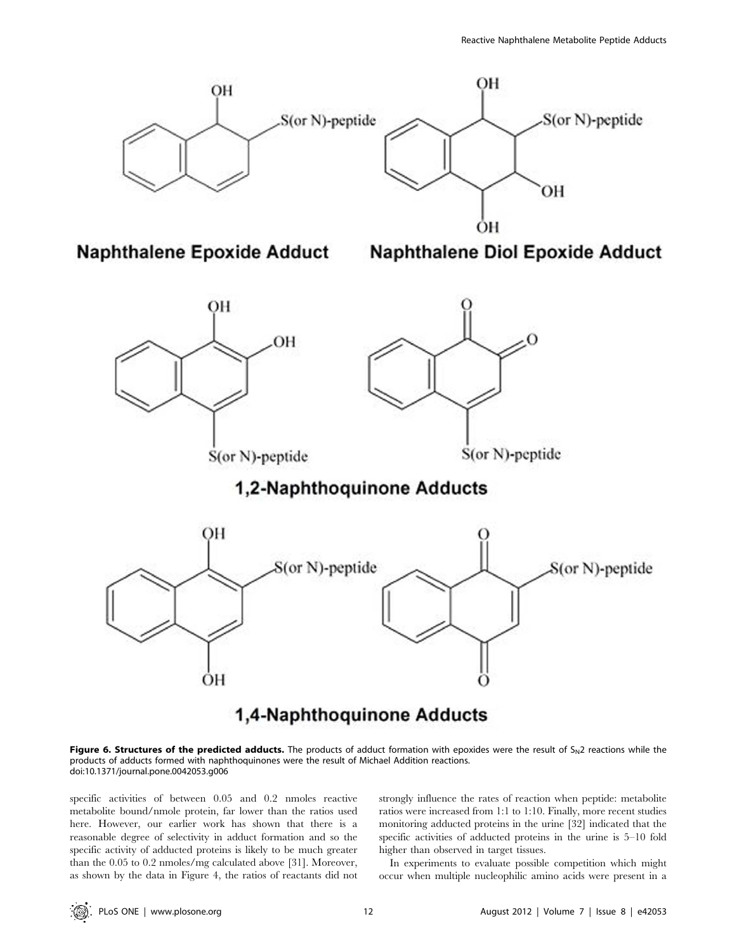

## 1,4-Naphthoquinone Adducts

Figure 6. Structures of the predicted adducts. The products of adduct formation with epoxides were the result of  $S_N 2$  reactions while the products of adducts formed with naphthoquinones were the result of Michael Addition reactions. doi:10.1371/journal.pone.0042053.g006

specific activities of between 0.05 and 0.2 nmoles reactive metabolite bound/nmole protein, far lower than the ratios used here. However, our earlier work has shown that there is a reasonable degree of selectivity in adduct formation and so the specific activity of adducted proteins is likely to be much greater than the 0.05 to 0.2 nmoles/mg calculated above [31]. Moreover, as shown by the data in Figure 4, the ratios of reactants did not strongly influence the rates of reaction when peptide: metabolite ratios were increased from 1:1 to 1:10. Finally, more recent studies monitoring adducted proteins in the urine [32] indicated that the specific activities of adducted proteins in the urine is 5–10 fold higher than observed in target tissues.

In experiments to evaluate possible competition which might occur when multiple nucleophilic amino acids were present in a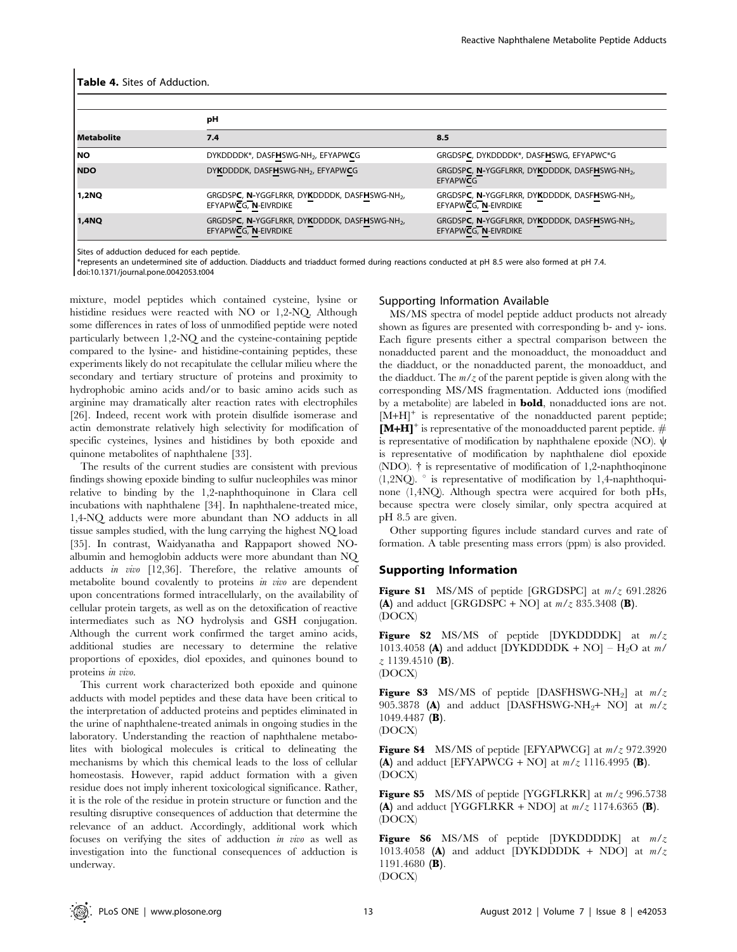#### Table 4. Sites of Adduction.

|                   | рH                                                                                |                                                                                   |  |  |  |
|-------------------|-----------------------------------------------------------------------------------|-----------------------------------------------------------------------------------|--|--|--|
| <b>Metabolite</b> | 7.4                                                                               | 8.5                                                                               |  |  |  |
| <b>NO</b>         | DYKDDDDK*, DASFHSWG-NH <sub>2</sub> , EFYAPWCG                                    | GRGDSPC, DYKDDDDK*, DASFHSWG, EFYAPWC*G                                           |  |  |  |
| <b>NDO</b>        | DYKDDDDK, DASFHSWG-NH <sub>2</sub> , EFYAPWCG                                     | GRGDSPC, N-YGGFLRKR, DYKDDDDK, DASFHSWG-NH <sub>2</sub> ,<br><b>EFYAPWCG</b>      |  |  |  |
| 1,2NQ             | GRGDSPC, N-YGGFLRKR, DYKDDDDK, DASFHSWG-NH <sub>2</sub> ,<br>EFYAPWCG, N-EIVRDIKE | GRGDSPC, N-YGGFLRKR, DYKDDDDK, DASFHSWG-NH <sub>2</sub> ,<br>EFYAPWCG, N-EIVRDIKE |  |  |  |
| 1,4NQ             | GRGDSPC, N-YGGFLRKR, DYKDDDDK, DASFHSWG-NH <sub>2</sub> ,<br>EFYAPWCG, N-EIVRDIKE | GRGDSPC, N-YGGFLRKR, DYKDDDDK, DASFHSWG-NH <sub>2</sub> ,<br>EFYAPWCG, N-EIVRDIKE |  |  |  |

Sites of adduction deduced for each peptide.

\*represents an undetermined site of adduction. Diadducts and triadduct formed during reactions conducted at pH 8.5 were also formed at pH 7.4.

doi:10.1371/journal.pone.0042053.t004

mixture, model peptides which contained cysteine, lysine or histidine residues were reacted with NO or 1,2-NQ. Although some differences in rates of loss of unmodified peptide were noted particularly between 1,2-NQ and the cysteine-containing peptide compared to the lysine- and histidine-containing peptides, these experiments likely do not recapitulate the cellular milieu where the secondary and tertiary structure of proteins and proximity to hydrophobic amino acids and/or to basic amino acids such as arginine may dramatically alter reaction rates with electrophiles [26]. Indeed, recent work with protein disulfide isomerase and actin demonstrate relatively high selectivity for modification of specific cysteines, lysines and histidines by both epoxide and quinone metabolites of naphthalene [33].

The results of the current studies are consistent with previous findings showing epoxide binding to sulfur nucleophiles was minor relative to binding by the 1,2-naphthoquinone in Clara cell incubations with naphthalene [34]. In naphthalene-treated mice, 1,4-NQ adducts were more abundant than NO adducts in all tissue samples studied, with the lung carrying the highest NQ load [35]. In contrast, Waidyanatha and Rappaport showed NOalbumin and hemoglobin adducts were more abundant than NQ adducts in vivo [12,36]. Therefore, the relative amounts of metabolite bound covalently to proteins in vivo are dependent upon concentrations formed intracellularly, on the availability of cellular protein targets, as well as on the detoxification of reactive intermediates such as NO hydrolysis and GSH conjugation. Although the current work confirmed the target amino acids, additional studies are necessary to determine the relative proportions of epoxides, diol epoxides, and quinones bound to proteins in vivo.

This current work characterized both epoxide and quinone adducts with model peptides and these data have been critical to the interpretation of adducted proteins and peptides eliminated in the urine of naphthalene-treated animals in ongoing studies in the laboratory. Understanding the reaction of naphthalene metabolites with biological molecules is critical to delineating the mechanisms by which this chemical leads to the loss of cellular homeostasis. However, rapid adduct formation with a given residue does not imply inherent toxicological significance. Rather, it is the role of the residue in protein structure or function and the resulting disruptive consequences of adduction that determine the relevance of an adduct. Accordingly, additional work which focuses on verifying the sites of adduction in vivo as well as investigation into the functional consequences of adduction is underway.

#### Supporting Information Available

MS/MS spectra of model peptide adduct products not already shown as figures are presented with corresponding b- and y- ions. Each figure presents either a spectral comparison between the nonadducted parent and the monoadduct, the monoadduct and the diadduct, or the nonadducted parent, the monoadduct, and the diadduct. The  $m/z$  of the parent peptide is given along with the corresponding MS/MS fragmentation. Adducted ions (modified by a metabolite) are labeled in bold, nonadducted ions are not.  $[M+H]^+$  is representative of the nonadducted parent peptide;  $[M+H]^+$  is representative of the monoadducted parent peptide.  $#$ is representative of modification by naphthalene epoxide (NO).  $\psi$ is representative of modification by naphthalene diol epoxide (NDO). { is representative of modification of 1,2-naphthoqinone  $(1,2NQ)$ . is representative of modification by 1,4-naphthoquinone (1,4NQ). Although spectra were acquired for both pHs, because spectra were closely similar, only spectra acquired at pH 8.5 are given.

Other supporting figures include standard curves and rate of formation. A table presenting mass errors (ppm) is also provided.

#### Supporting Information

**Figure S1** MS/MS of peptide [GRGDSPC] at  $m/z$  691.2826 (A) and adduct [GRGDSPC + NO] at  $m/z$  835.3408 (B). (DOCX)

Figure S2 MS/MS of peptide [DYKDDDDK] at  $m/z$ 1013.4058 (A) and adduct [DYKDDDDK + NO] – H<sub>2</sub>O at  $m/$  $z$  1139.4510 (B). (DOCX)

**Figure S3** MS/MS of peptide [DASFHSWG-NH<sub>2</sub>] at  $m/z$ 905.3878 (A) and adduct [DASFHSWG-NH<sub>2</sub>+ NO] at  $m/z$ 1049.4487 (B).

(DOCX)

**Figure S4** MS/MS of peptide [EFYAPWCG] at  $m/z$  972.3920 (A) and adduct [EFYAPWCG + NO] at  $m/z$  1116.4995 (B). (DOCX)

**Figure S5** MS/MS of peptide [YGGFLRKR] at  $m/z$  996.5738 (A) and adduct [YGGFLRKR + NDO] at  $m/z$  1174.6365 (B). (DOCX)

Figure S6 MS/MS of peptide [DYKDDDDK] at  $m/z$ 1013.4058 (A) and adduct [DYKDDDDK + NDO] at  $m/z$ 1191.4680 (B).

(DOCX)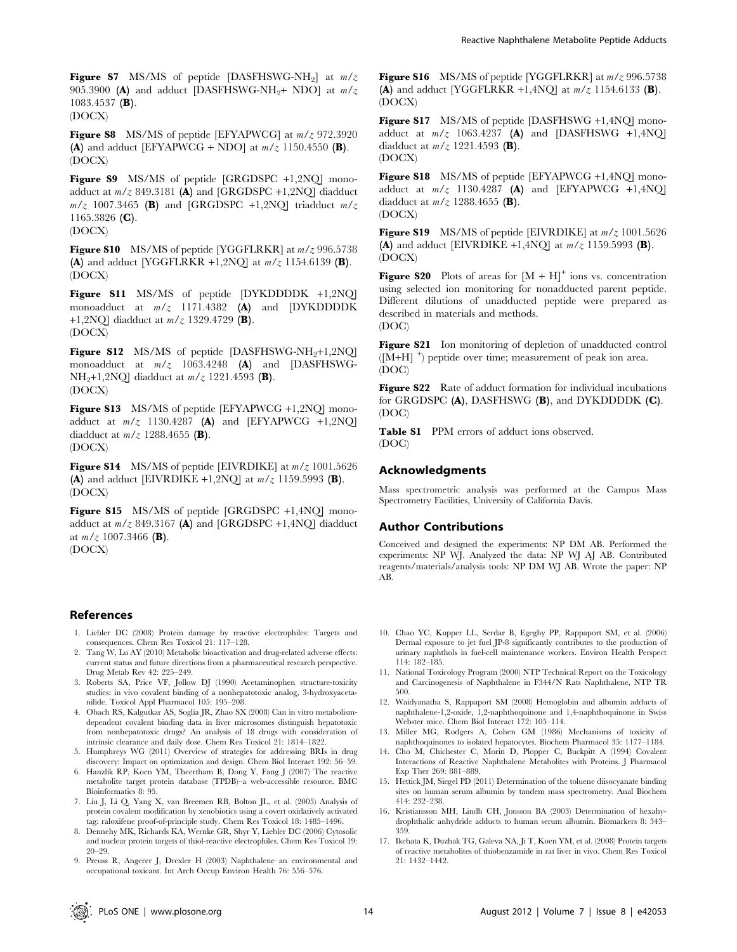Figure S7 MS/MS of peptide [DASFHSWG-NH<sub>2</sub>] at  $m/z$ 905.3900 (A) and adduct [DASFHSWG-NH<sub>2</sub>+ NDO] at  $m/z$ 1083.4537 (B). (DOCX)

**Figure S8** MS/MS of peptide [EFYAPWCG] at  $m/z$  972.3920 (A) and adduct [EFYAPWCG + NDO] at  $m/z$  1150.4550 (B). (DOCX)

Figure S9 MS/MS of peptide [GRGDSPC +1,2NQ] monoadduct at  $m/z$  849.3181 (A) and [GRGDSPC +1,2NO] diadduct  $m/z$  1007.3465 (B) and [GRGDSPC +1,2NQ] triadduct  $m/z$ 1165.3826 (C). (DOCX)

**Figure S10** MS/MS of peptide [YGGFLRKR] at  $m/z$  996.5738 (A) and adduct [YGGFLRKR +1,2NO] at  $m/z$  1154.6139 (B). (DOCX)

Figure S11 MS/MS of peptide [DYKDDDDK +1,2NQ] monoadduct at  $m/z$  1171.4382 (A) and [DYKDDDDK +1,2NQ] diadduct at  $m/z$  1329.4729 (B). (DOCX)

**Figure S12** MS/MS of peptide  $[DASFHSWG-NH<sub>2</sub>+1,2NQ]$ monoadduct at  $m/z$  1063.4248 (A) and [DASFHSWG-NH<sub>2</sub>+1,2NQ] diadduct at  $m/z$  1221.4593 (**B**). (DOCX)

Figure S13 MS/MS of peptide [EFYAPWCG +1,2NO] monoadduct at  $m/z$  1130.4287 (A) and [EFYAPWCG +1,2NO] diadduct at  $m/z$  1288.4655 (B). (DOCX)

**Figure S14** MS/MS of peptide [EIVRDIKE] at  $m/z$  1001.5626 (A) and adduct [EIVRDIKE +1,2NQ] at  $m/z$  1159.5993 (B). (DOCX)

Figure S15 MS/MS of peptide [GRGDSPC +1,4NQ] monoadduct at  $m/z$  849.3167 (A) and [GRGDSPC +1,4NQ] diadduct at  $m/z$  1007.3466 (B). (DOCX)

#### References

- 1. Liebler DC (2008) Protein damage by reactive electrophiles: Targets and consequences. Chem Res Toxicol 21: 117–128.
- 2. Tang W, Lu AY (2010) Metabolic bioactivation and drug-related adverse effects: current status and future directions from a pharmaceutical research perspective. Drug Metab Rev 42: 225–249.
- 3. Roberts SA, Price VF, Jollow DJ (1990) Acetaminophen structure-toxicity studies: in vivo covalent binding of a nonhepatotoxic analog, 3-hydroxyacetanilide. Toxicol Appl Pharmacol 105: 195–208.
- 4. Obach RS, Kalgutkar AS, Soglia JR, Zhao SX (2008) Can in vitro metabolismdependent covalent binding data in liver microsomes distinguish hepatotoxic from nonhepatotoxic drugs? An analysis of 18 drugs with consideration of intrinsic clearance and daily dose. Chem Res Toxicol 21: 1814–1822.
- 5. Humphreys WG (2011) Overview of strategies for addressing BRIs in drug discovery: Impact on optimization and design. Chem Biol Interact 192: 56–59.
- 6. Hanzlik RP, Koen YM, Theertham B, Dong Y, Fang J (2007) The reactive metabolite target protein database (TPDB)–a web-accessible resource. BMC Bioinformatics 8: 95.
- 7. Liu J, Li Q, Yang X, van Breemen RB, Bolton JL, et al. (2005) Analysis of protein covalent modification by xenobiotics using a covert oxidatively activated tag: raloxifene proof-of-principle study. Chem Res Toxicol 18: 1485–1496.
- 8. Dennehy MK, Richards KA, Wernke GR, Shyr Y, Liebler DC (2006) Cytosolic and nuclear protein targets of thiol-reactive electrophiles. Chem Res Toxicol 19: 20–29.

Figure S16 MS/MS of peptide [YGGFLRKR] at  $m/z$  996.5738 (A) and adduct [YGGFLRKR +1,4NQ] at  $m/z$  1154.6133 (B). (DOCX)

Figure S17 MS/MS of peptide [DASFHSWG +1,4NO] monoadduct at  $m/z$  1063.4237 (A) and [DASFHSWG +1.4NO] diadduct at  $m/z$  1221.4593 (B). (DOCX)

Figure S18 MS/MS of peptide [EFYAPWCG +1,4NQ] monoadduct at  $m/z$  1130.4287 (A) and [EFYAPWCG +1,4NQ] diadduct at  $m/z$  1288.4655 (B). (DOCX)

**Figure S19** MS/MS of peptide [EIVRDIKE] at  $m/z$  1001.5626 (A) and adduct [EIVRDIKE +1,4NQ] at  $m/z$  1159.5993 (B). (DOCX)

**Figure S20** Plots of areas for  $[M + H]$ <sup>+</sup> ions vs. concentration using selected ion monitoring for nonadducted parent peptide. Different dilutions of unadducted peptide were prepared as described in materials and methods. (DOC)

Figure S21 Ion monitoring of depletion of unadducted control ([M+H] <sup>+</sup> ) peptide over time; measurement of peak ion area. (DOC)

Figure S22 Rate of adduct formation for individual incubations for GRGDSPC (A), DASFHSWG (B), and DYKDDDDK (C). (DOC)

Table S1 PPM errors of adduct ions observed. (DOC)

#### Acknowledgments

Mass spectrometric analysis was performed at the Campus Mass Spectrometry Facilities, University of California Davis.

#### Author Contributions

Conceived and designed the experiments: NP DM AB. Performed the experiments: NP WJ. Analyzed the data: NP WJ AJ AB. Contributed reagents/materials/analysis tools: NP DM WJ AB. Wrote the paper: NP AB.

- 10. Chao YC, Kupper LL, Serdar B, Egeghy PP, Rappaport SM, et al. (2006) Dermal exposure to jet fuel JP-8 significantly contributes to the production of urinary naphthols in fuel-cell maintenance workers. Environ Health Perspect 114: 182–185.
- 11. National Toxicology Program (2000) NTP Technical Report on the Toxicology and Carcinogenesis of Naphthalene in F344/N Rats Naphthalene, NTP TR 500.
- 12. Waidyanatha S, Rappaport SM (2008) Hemoglobin and albumin adducts of naphthalene-1,2-oxide, 1,2-naphthoquinone and 1,4-naphthoquinone in Swiss Webster mice. Chem Biol Interact 172: 105–114.
- 13. Miller MG, Rodgers A, Cohen GM (1986) Mechanisms of toxicity of naphthoquinones to isolated hepatocytes. Biochem Pharmacol 35: 1177–1184.
- 14. Cho M, Chichester C, Morin D, Plopper C, Buckpitt A (1994) Covalent Interactions of Reactive Naphthalene Metabolites with Proteins. J Pharmacol Exp Ther 269: 881–889.
- 15. Hettick JM, Siegel PD (2011) Determination of the toluene diisocyanate binding sites on human serum albumin by tandem mass spectrometry. Anal Biochem 414: 232–238.
- 16. Kristiansson MH, Lindh CH, Jonsson BA (2003) Determination of hexahydrophthalic anhydride adducts to human serum albumin. Biomarkers 8: 343– 359.
- 17. Ikehata K, Duzhak TG, Galeva NA, Ji T, Koen YM, et al. (2008) Protein targets of reactive metabolites of thiobenzamide in rat liver in vivo. Chem Res Toxicol 21: 1432–1442.